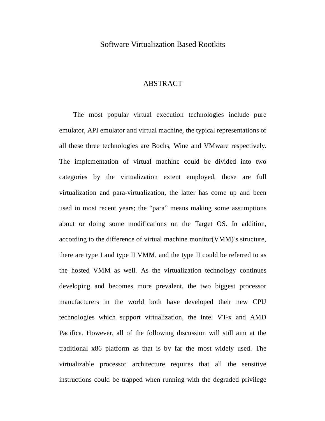# Software Virtualization Based Rootkits

# ABSTRACT

The most popular virtual execution technologies include pure emulator, API emulator and virtual machine, the typical representations of all these three technologies are Bochs, Wine and VMware respectively. The implementation of virtual machine could be divided into two categories by the virtualization extent employed, those are full virtualization and para-virtualization, the latter has come up and been used in most recent years; the "para" means making some assumptions about or doing some modifications on the Target OS. In addition, according to the difference of virtual machine monitor(VMM)'s structure, there are type I and type II VMM, and the type II could be referred to as the hosted VMM as well. As the virtualization technology continues developing and becomes more prevalent, the two biggest processor manufacturers in the world both have developed their new CPU technologies which support virtualization, the Intel VT-x and AMD Pacifica. However, all of the following discussion will still aim at the traditional x86 platform as that is by far the most widely used. The virtualizable processor architecture requires that all the sensitive instructions could be trapped when running with the degraded privilege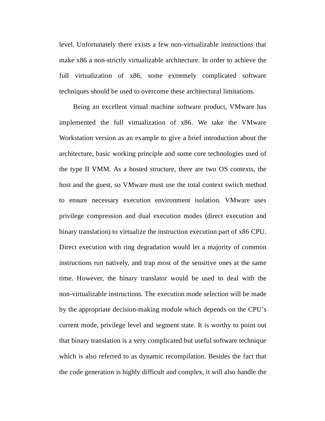level. Unfortunately there exists a few non-virtualizable instructions that make x86 a non-strictly virtualizable architecture. In order to achieve the full virtualization of x86, some extremely complicated software techniques should be used to overcome these architectural limitations.

Being an excellent virtual machine software product, VMware has implemented the full virtualization of x86. We take the VMware Workstation version as an example to give a brief introduction about the architecture, basic working principle and some core technologies used of the type II VMM. As a hosted structure, there are two OS contexts, the host and the guest, so VMware must use the total context switch method to ensure necessary execution environment isolation. VMware uses privilege compression and dual execution modes (direct execution and binary translation) to virtualize the instruction execution part of x86 CPU. Direct execution with ring degradation would let a majority of common instructions run natively, and trap most of the sensitive ones at the same time. However, the binary translator would be used to deal with the non-virtualizable instructions. The execution mode selection will be made by the appropriate decision-making module which depends on the CPU's current mode, privilege level and segment state. It is worthy to point out that binary translation is a very complicated but useful software technique which is also referred to as dynamic recompilation. Besides the fact that the code generation is highly difficult and complex, it will also handle the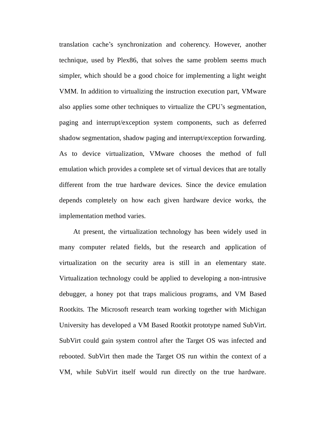translation cache's synchronization and coherency. However, another technique, used by Plex86, that solves the same problem seems much simpler, which should be a good choice for implementing a light weight VMM. In addition to virtualizing the instruction execution part, VMware also applies some other techniques to virtualize the CPU's segmentation, paging and interrupt/exception system components, such as deferred shadow segmentation, shadow paging and interrupt/exception forwarding. As to device virtualization, VMware chooses the method of full emulation which provides a complete set of virtual devices that are totally different from the true hardware devices. Since the device emulation depends completely on how each given hardware device works, the implementation method varies.

At present, the virtualization technology has been widely used in many computer related fields, but the research and application of virtualization on the security area is still in an elementary state. Virtualization technology could be applied to developing a non-intrusive debugger, a honey pot that traps malicious programs, and VM Based Rootkits. The Microsoft research team working together with Michigan University has developed a VM Based Rootkit prototype named SubVirt. SubVirt could gain system control after the Target OS was infected and rebooted. SubVirt then made the Target OS run within the context of a VM, while SubVirt itself would run directly on the true hardware.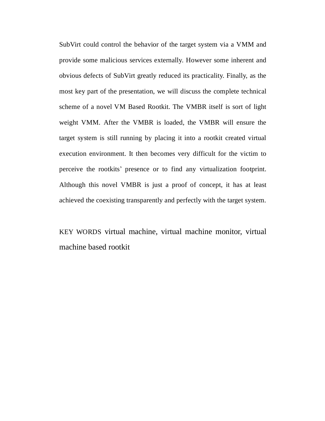SubVirt could control the behavior of the target system via a VMM and provide some malicious services externally. However some inherent and obvious defects of SubVirt greatly reduced its practicality. Finally, as the most key part of the presentation, we will discuss the complete technical scheme of a novel VM Based Rootkit. The VMBR itself is sort of light weight VMM. After the VMBR is loaded, the VMBR will ensure the target system is still running by placing it into a rootkit created virtual execution environment. It then becomes very difficult for the victim to perceive the rootkits' presence or to find any virtualization footprint. Although this novel VMBR is just a proof of concept, it has at least achieved the coexisting transparently and perfectly with the target system.

KEY WORDS virtual machine, virtual machine monitor, virtual machine based rootkit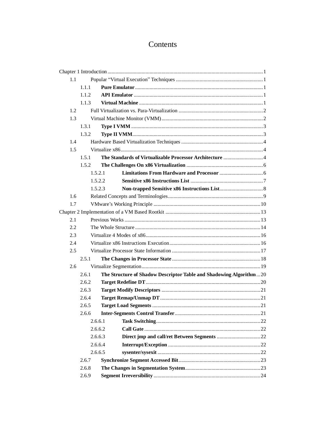# Contents

| 1.1     |         |                                                                    |  |
|---------|---------|--------------------------------------------------------------------|--|
|         | 111     |                                                                    |  |
|         | 1.1.2.  |                                                                    |  |
|         | 1.1.3   |                                                                    |  |
| 1.2     |         |                                                                    |  |
| 1.3     |         |                                                                    |  |
|         | 1.3.1   |                                                                    |  |
|         | 1.3.2   |                                                                    |  |
| 1.4     |         |                                                                    |  |
| 1.5     |         |                                                                    |  |
|         | 1.5.1   |                                                                    |  |
|         | 1.5.2   |                                                                    |  |
|         | 1.5.2.1 |                                                                    |  |
|         | 1.5.2.2 |                                                                    |  |
|         | 1.5.2.3 |                                                                    |  |
| 1.6     |         |                                                                    |  |
| 1.7     |         |                                                                    |  |
|         |         |                                                                    |  |
| 2.1     |         |                                                                    |  |
| 2.2     |         |                                                                    |  |
| 2.3     |         |                                                                    |  |
| 2.4     |         |                                                                    |  |
| 2.5     |         |                                                                    |  |
|         | 2.5.1   |                                                                    |  |
| 2.6     |         |                                                                    |  |
|         | 2.6.1   | The Structure of Shadow Descriptor Table and Shadowing Algorithm20 |  |
|         | 2.6.2   |                                                                    |  |
|         | 2.6.3   |                                                                    |  |
|         | 2.6.4   |                                                                    |  |
|         | 2.6.5   |                                                                    |  |
|         | 2.6.6   |                                                                    |  |
|         | 2.6.6.1 |                                                                    |  |
|         | 2.6.6.2 |                                                                    |  |
| 2.6.6.3 |         |                                                                    |  |
|         | 2.6.6.4 |                                                                    |  |
|         | 2.6.6.5 |                                                                    |  |
|         | 2.6.7   |                                                                    |  |
|         | 2.6.8   |                                                                    |  |
|         | 2.6.9   |                                                                    |  |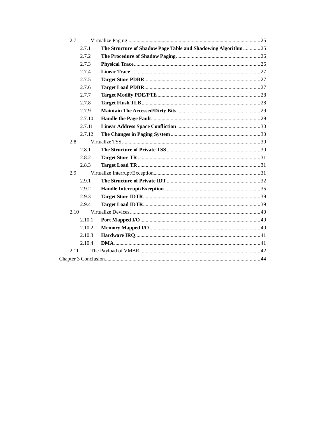| 2.7                                                                   |  |
|-----------------------------------------------------------------------|--|
| The Structure of Shadow Page Table and Shadowing Algorithm25<br>2.7.1 |  |
| 2.7.2                                                                 |  |
| 2.7.3                                                                 |  |
| 2.7.4                                                                 |  |
| 2.7.5                                                                 |  |
| 2.7.6                                                                 |  |
| 2.7.7                                                                 |  |
| 2.7.8                                                                 |  |
| 2.7.9                                                                 |  |
| 2.7.10                                                                |  |
| 2.7.11                                                                |  |
| 2.7.12                                                                |  |
| 2.8                                                                   |  |
| 2.8.1                                                                 |  |
| 2.8.2                                                                 |  |
| 2.8.3                                                                 |  |
| 2.9                                                                   |  |
| 2.9.1                                                                 |  |
| 2.9.2                                                                 |  |
| 2.9.3                                                                 |  |
| 2.9.4                                                                 |  |
| 2.10                                                                  |  |
| 2.10.1                                                                |  |
| 2.10.2                                                                |  |
| 2.10.3                                                                |  |
| 2.10.4                                                                |  |
| 2.11                                                                  |  |
|                                                                       |  |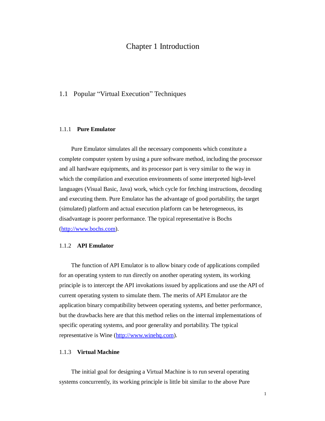# Chapter 1 Introduction

# 1.1 Popular "Virtual Execution" Techniques

### 1.1.1 **Pure Emulator**

Pure Emulator simulates all the necessary components which constitute a complete computer system by using a pure software method, including the processor and all hardware equipments, and its processor part is very similar to the way in which the compilation and execution environments of some interpreted high-level languages (Visual Basic, Java) work, which cycle for fetching instructions, decoding and executing them. Pure Emulator has the advantage of good portability, the target (simulated) platform and actual execution platform can be heterogeneous, its disadvantage is poorer performance. The typical representative is Bochs [\(http://www.bochs.com\)](http://www.bochs.com).

# 1.1.2 **API Emulator**

The function of API Emulator is to allow binary code of applications compiled for an operating system to run directly on another operating system, its working principle is to intercept the API invokations issued by applications and use the API of current operating system to simulate them. The merits of API Emulator are the application binary compatibility between operating systems, and better performance, but the drawbacks here are that this method relies on the internal implementations of specific operating systems, and poor generality and portability. The typical representative is Wine [\(http://www.winehq.com\)](http://www.winehq.com).

# 1.1.3 **Virtual Machine**

The initial goal for designing a Virtual Machine is to run several operating systems concurrently, its working principle is little bit similar to the above Pure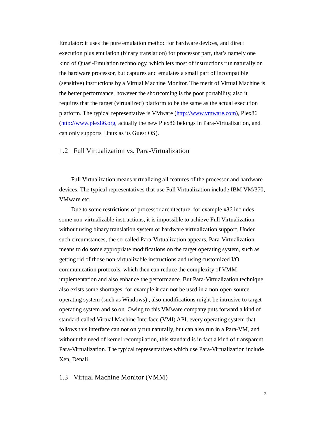Emulator: it uses the pure emulation method for hardware devices, and direct execution plus emulation (binary translation) for processor part, that's namely one kind of Quasi-Emulation technology, which lets most of instructions run naturally on the hardware processor, but captures and emulates a small part of incompatible (sensitive) instructions by a Virtual Machine Monitor. The merit of Virtual Machine is the better performance, however the shortcoming is the poor portability, also it requires that the target (virtualized) platform to be the same as the actual execution platform. The typical representative is VMware ([http://www.vmware.com\)](http://www.vmware.com), Plex86 [\(http://www.plex86.org](http://www.plex86.org), actually the new Plex86 belongs in Para-Virtualization, and can only supports Linux as its Guest OS).

# 1.2 Full Virtualization vs. Para-Virtualization

Full Virtualization means virtualizing all features of the processor and hardware devices. The typical representatives that use Full Virtualization include IBM VM/370, VMware etc.

Due to some restrictions of processor architecture, for example x86 includes some non-virtualizable instructions, it is impossible to achieve Full Virtualization without using binary translation system or hardware virtualization support. Under such circumstances, the so-called Para-Virtualization appears, Para-Virtualization means to do some appropriate modifications on the target operating system, such as getting rid of those non-virtualizable instructions and using customized I/O communication protocols, which then can reduce the complexity of VMM implementation and also enhance the performance. But Para-Virtualization technique also exists some shortages, for example it can not be used in a non-open-source operating system (such as Windows) , also modifications might be intrusive to target operating system and so on. Owing to this VMware company puts forward a kind of standard called Virtual Machine Interface (VMI) API, every operating system that follows this interface can not only run naturally, but can also run in a Para-VM, and without the need of kernel recompilation, this standard is in fact a kind of transparent Para-Virtualization. The typical representatives which use Para-Virtualization include Xen, Denali.

1.3 Virtual Machine Monitor (VMM)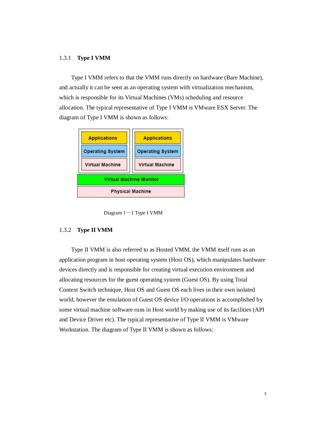## 1.3.1 **Type I VMM**

Type I VMM refers to that the VMM runs directly on hardware (Bare Machine), and actually it can be seen as an operating system with virtualization mechanism, which is responsible for its Virtual Machines (VMs) scheduling and resource allocation. The typical representative of Type I VMM is VMware ESX Server. The diagram of Type I VMM is shown as follows:



Diagram  $1 - 1$  Type I VMM

## 1.3.2 **Type II VMM**

Type II VMM is also referred to as Hosted VMM, the VMM itself runs as an application program in host operating system (Host OS), which manipulates hardware devices directly and is responsible for creating virtual execution environment and allocating resources for the guest operating system (Guest OS). By using Total Context Switch technique, Host OS and Guest OS each lives in their own isolated world, however the emulation of Guest OS device I/O operations is accomplished by some virtual machine software runs in Host world by making use of its facilities (API and Device Driver etc). The typical representative of Type II VMM is VMware Workstation. The diagram of Type II VMM is shown as follows: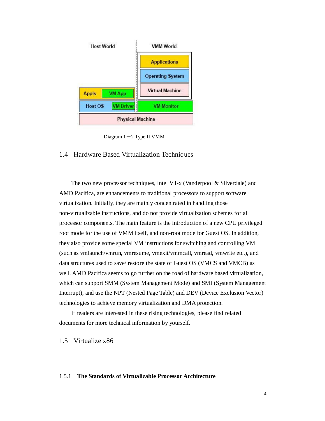

Diagram  $1-2$  Type II VMM

# 1.4 Hardware Based Virtualization Techniques

The two new processor techniques, Intel VT-x (Vanderpool & Silverdale) and AMD Pacifica, are enhancements to traditional processors to support software virtualization. Initially, they are mainly concentrated in handling those non-virtualizable instructions, and do not provide virtualization schemes for all processor components. The main feature is the introduction of a new CPU privileged root mode for the use of VMM itself, and non-root mode for Guest OS. In addition, they also provide some special VM instructions for switching and controlling VM (such as vmlaunch/vmrun, vmresume, vmexit/vmmcall, vmread, vmwrite etc.), and data structures used to save/ restore the state of Guest OS (VMCS and VMCB) as well. AMD Pacifica seems to go further on the road of hardware based virtualization, which can support SMM (System Management Mode) and SMI (System Management Interrupt), and use the NPT (Nested Page Table) and DEV (Device Exclusion Vector) technologies to achieve memory virtualization and DMA protection.

If readers are interested in these rising technologies, please find related documents for more technical information by yourself.

# 1.5 Virtualize x86

### 1.5.1 **The Standards of Virtualizable Processor Architecture**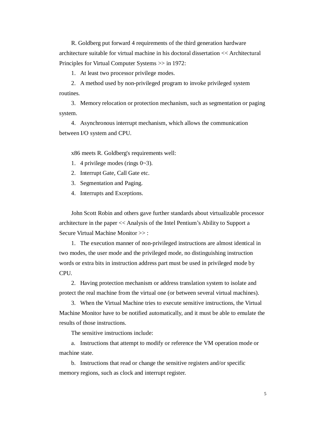R. Goldberg put forward 4 requirements of the third generation hardware architecture suitable for virtual machine in his doctoral dissertation << Architectural Principles for Virtual Computer Systems >> in 1972:

1. At least two processor privilege modes.

2. A method used by non-privileged program to invoke privileged system routines.

3. Memory relocation or protection mechanism, such as segmentation or paging system.

4. Asynchronous interrupt mechanism, which allows the communication between I/O system and CPU.

x86 meets R. Goldberg's requirements well:

- 1. 4 privilege modes (rings 0~3).
- 2. Interrupt Gate, Call Gate etc.
- 3. Segmentation and Paging.
- 4. Interrupts and Exceptions.

John Scott Robin and others gave further standards about virtualizable processor architecture in the paper << Analysis of the Intel Pentium's Ability to Support a Secure Virtual Machine Monitor >> :

1. The execution manner of non-privileged instructions are almost identical in two modes, the user mode and the privileged mode, no distinguishing instruction words or extra bits in instruction address part must be used in privileged mode by CPU.

2. Having protection mechanism or address translation system to isolate and protect the real machine from the virtual one (or between several virtual machines).

3. When the Virtual Machine tries to execute sensitive instructions, the Virtual Machine Monitor have to be notified automatically, and it must be able to emulate the results of those instructions.

The sensitive instructions include:

a. Instructions that attempt to modify or reference the VM operation mode or machine state.

b. Instructions that read or change the sensitive registers and/or specific memory regions, such as clock and interrupt register.

5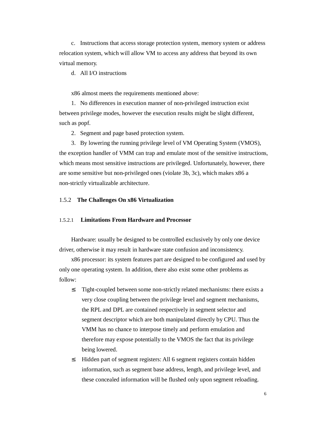c. Instructions that access storage protection system, memory system or address relocation system, which will allow VM to access any address that beyond its own virtual memory.

d. All I/O instructions

x86 almost meets the requirements mentioned above:

1. No differences in execution manner of non-privileged instruction exist between privilege modes, however the execution results might be slight different, such as popf.

2. Segment and page based protection system.

3. By lowering the running privilege level of VM Operating System (VMOS), the exception handler of VMM can trap and emulate most of the sensitive instructions, which means most sensitive instructions are privileged. Unfortunately, however, there are some sensitive but non-privileged ones (violate 3b, 3c), which makes x86 a non-strictly virtualizable architecture.

# 1.5.2 **The Challenges On x86 Virtualization**

# 1.5.2.1 **Limitations From Hardware and Processor**

Hardware: usually be designed to be controlled exclusively by only one device driver, otherwise it may result in hardware state confusion and inconsistency.

x86 processor: its system features part are designed to be configured and used by only one operating system. In addition, there also exist some other problems as follow:

- <sup>2</sup> Tight-coupled between some non-strictly related mechanisms: there exists a very close coupling between the privilege level and segment mechanisms, the RPL and DPL are contained respectively in segment selector and segment descriptor which are both manipulated directly by CPU. Thus the VMM has no chance to interpose timely and perform emulation and therefore may expose potentially to the VMOS the fact that its privilege being lowered.
- <sup>2</sup> Hidden part of segment registers: All 6 segment registers contain hidden information, such as segment base address, length, and privilege level, and these concealed information will be flushed only upon segment reloading.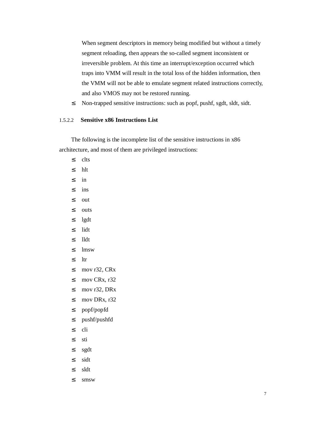When segment descriptors in memory being modified but without a timely segment reloading, then appears the so-called segment inconsistent or irreversible problem. At this time an interrupt/exception occurred which traps into VMM will result in the total loss of the hidden information, then the VMM will not be able to emulate segment related instructions correctly, and also VMOS may not be restored running.

² Non-trapped sensitive instructions: such as popf, pushf, sgdt, sldt, sidt.

# 1.5.2.2 **Sensitive x86 Instructions List**

The following is the incomplete list of the sensitive instructions in x86 architecture, and most of them are privileged instructions:

- ² clts ² hlt  $2 \quad in$ ² ins  $2$  out ² outs  $2$  lgdt ² lidt ² lldt ² lmsw  $2$   $\text{ltr}$ <sup>2</sup> mov r32, CR<sub>x</sub>  $2 \text{ mov CRx}, r32$ <sup>2</sup> mov r32, DRx  $2 \text{ mov DRx}, r32$ ² popf/popfd ² pushf/pushfd ² cli ² sti
- ² sgdt
- ² sidt
- ² sldt
- ² smsw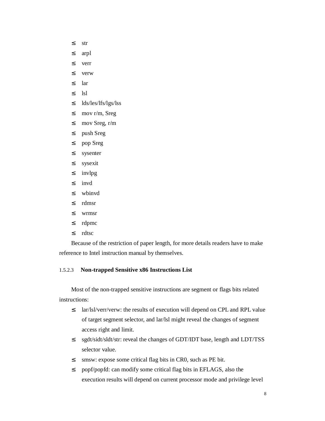- $2 \sin$
- arpl
- verr
- verw
- $2 \arctan \frac{1}{2}$
- lsl
- lds/les/lfs/lgs/lss
- mov r/m, Sreg
- mov Sreg, r/m
- push Sreg
- pop Sreg
- sysenter
- sysexit
- invlpg
- invd
- wbinvd
- rdmsr
- wrmsr
- rdpmc
- rdtsc

Because of the restriction of paper length, for more details readers have to make reference to Intel instruction manual by themselves.

# 1.5.2.3 **Non-trapped Sensitive x86 Instructions List**

Most of the non-trapped sensitive instructions are segment or flags bits related instructions:

- <sup>2</sup> lar/lsl/verr/verw: the results of execution will depend on CPL and RPL value of target segment selector, and lar/lsl might reveal the changes of segment access right and limit.
- sgdt/sidt/sldt/str: reveal the changes of GDT/IDT base, length and LDT/TSS selector value.
- <sup>2</sup> smsw: expose some critical flag bits in CR0, such as PE bit.
- popf/popfd: can modify some critical flag bits in EFLAGS, also the execution results will depend on current processor mode and privilege level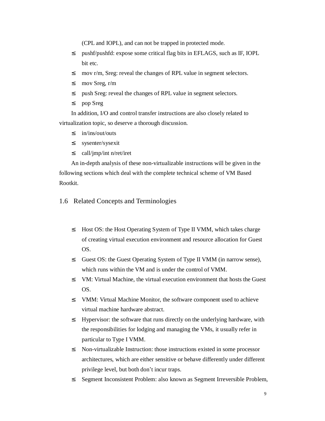(CPL and IOPL), and can not be trapped in protected mode.

- ² pushf/pushfd: expose some critical flag bits in EFLAGS, such as IF, IOPL bit etc.
- <sup>2</sup> mov r/m, Sreg: reveal the changes of RPL value in segment selectors.
- ² mov Sreg, r/m
- <sup>2</sup> push Sreg: reveal the changes of RPL value in segment selectors.
- ² pop Sreg

In addition, I/O and control transfer instructions are also closely related to virtualization topic, so deserve a thorough discussion.

- $\frac{2}{\text{in/ins}/\text{out}/\text{outs}}$
- ² sysenter/sysexit
- ² call/jmp/int n/ret/iret

An in-depth analysis of these non-virtualizable instructions will be given in the following sections which deal with the complete technical scheme of VM Based Rootkit.

1.6 Related Concepts and Terminologies

- <sup>2</sup> Host OS: the Host Operating System of Type II VMM, which takes charge of creating virtual execution environment and resource allocation for Guest OS.
- <sup>2</sup> Guest OS: the Guest Operating System of Type II VMM (in narrow sense), which runs within the VM and is under the control of VMM.
- ² VM: Virtual Machine, the virtual execution environment that hosts the Guest OS.
- ² VMM: Virtual Machine Monitor, the software component used to achieve virtual machine hardware abstract.
- <sup>2</sup> Hypervisor: the software that runs directly on the underlying hardware, with the responsibilities for lodging and managing the VMs, it usually refer in particular to Type I VMM.
- ² Non-virtualizable Instruction: those instructions existed in some processor architectures, which are either sensitive or behave differently under different privilege level, but both don't incur traps.
- <sup>2</sup> Segment Inconsistent Problem: also known as Segment Irreversible Problem,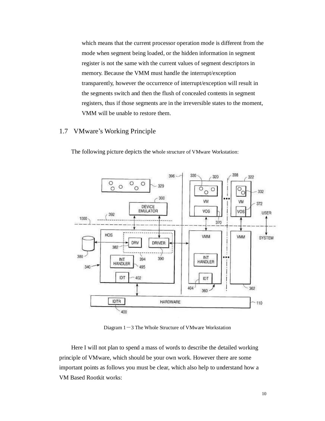which means that the current processor operation mode is different from the mode when segment being loaded, or the hidden information in segment register is not the same with the current values of segment descriptors in memory. Because the VMM must handle the interrupt/exception transparently, however the occurrence of interrupt/exception will result in the segments switch and then the flush of concealed contents in segment registers, thus if those segments are in the irreversible states to the moment, VMM will be unable to restore them.

# 1.7 VMware's Working Principle



The following picture depicts the whole structure of VMware Workstation:

Diagram  $1-3$  The Whole Structure of VMware Workstation

Here I will not plan to spend a mass of words to describe the detailed working principle of VMware, which should be your own work. However there are some important points as follows you must be clear, which also help to understand how a VM Based Rootkit works: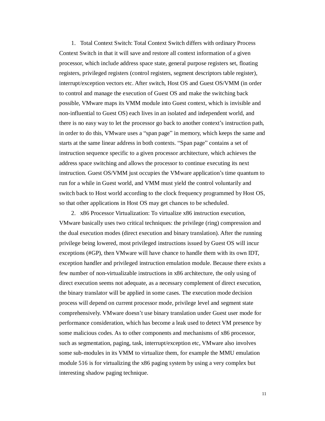1. Total Context Switch: Total Context Switch differs with ordinary Process Context Switch in that it will save and restore all context information of a given processor, which include address space state, general purpose registers set, floating registers, privileged registers (control registers, segment descriptors table register), interrupt/exception vectors etc. After switch, Host OS and Guest OS/VMM (in order to control and manage the execution of Guest OS and make the switching back possible, VMware maps its VMM module into Guest context, which is invisible and non-influential to Guest OS) each lives in an isolated and independent world, and there is no easy way to let the processor go back to another context's instruction path, in order to do this, VMware uses a "span page" in memory, which keeps the same and starts at the same linear address in both contexts. "Span page" contains a set of instruction sequence specific to a given processor architecture, which achieves the address space switching and allows the processor to continue executing its next instruction. Guest OS/VMM just occupies the VMware application's time quantum to run for a while in Guest world, and VMM must yield the control voluntarily and switch back to Host world according to the clock frequency programmed by Host OS, so that other applications in Host OS may get chances to be scheduled.

2. x86 Processor Virtualization: To virtualize x86 instruction execution, VMware basically uses two critical techniques: the privilege (ring) compression and the dual execution modes (direct execution and binary translation). After the running privilege being lowered, most privileged instructions issued by Guest OS will incur exceptions (#GP), then VMware will have chance to handle them with its own IDT, exception handler and privileged instruction emulation module. Because there exists a few number of non-virtualizable instructions in x86 architecture, the only using of direct execution seems not adequate, as a necessary complement of direct execution, the binary translator will be applied in some cases. The execution mode decision process will depend on current processor mode, privilege level and segment state comprehensively. VMware doesn't use binary translation under Guest user mode for performance consideration, which has become a leak used to detect VM presence by some malicious codes. As to other components and mechanisms of x86 processor, such as segmentation, paging, task, interrupt/exception etc, VMware also involves some sub-modules in its VMM to virtualize them, for example the MMU emulation module 516 is for virtualizing the x86 paging system by using a very complex but interesting shadow paging technique.

11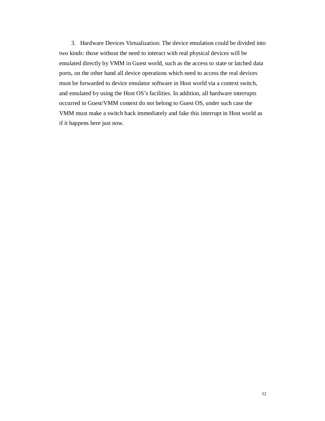3. Hardware Devices Virtualization: The device emulation could be divided into two kinds: those without the need to interact with real physical devices will be emulated directly by VMM in Guest world, such as the access to state or latched data ports, on the other hand all device operations which need to access the real devices must be forwarded to device emulator software in Host world via a context switch, and emulated by using the Host OS's facilities. In addition, all hardware interrupts occurred in Guest/VMM context do not belong to Guest OS, under such case the VMM must make a switch back immediately and fake this interrupt in Host world as if it happens here just now.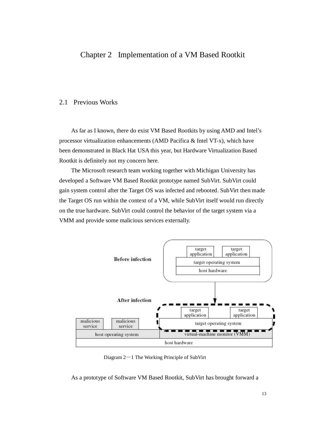# Chapter 2 Implementation of a VM Based Rootkit

# 2.1 Previous Works

As far as I known, there do exist VM Based Rootkits by using AMD and Intel's processor virtualization enhancements (AMD Pacifica & Intel VT-x), which have been demonstrated in Black Hat USA this year, but Hardware Virtualization Based Rootkit is definitely not my concern here.

The Microsoft research team working together with Michigan University has developed a Software VM Based Rootkit prototype named SubVirt. SubVirt could gain system control after the Target OS was infected and rebooted. SubVirt then made the Target OS run within the context of a VM, while SubVirt itself would run directly on the true hardware. SubVirt could control the behavior of the target system via a VMM and provide some malicious services externally.



Diagram  $2-1$  The Working Principle of SubVirt

As a prototype of Software VM Based Rootkit, SubVirt has brought forward a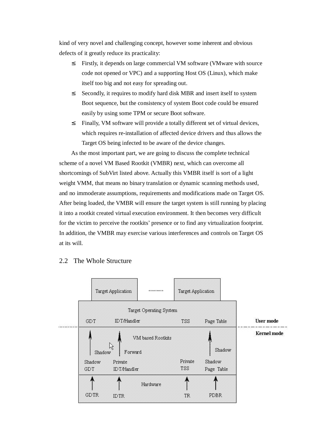kind of very novel and challenging concept, however some inherent and obvious defects of it greatly reduce its practicality:

- <sup>2</sup> Firstly, it depends on large commercial VM software (VMware with source code not opened or VPC) and a supporting Host OS (Linux), which make itself too big and not easy for spreading out.
- <sup>2</sup> Secondly, it requires to modify hard disk MBR and insert itself to system Boot sequence, but the consistency of system Boot code could be ensured easily by using some TPM or secure Boot software.
- ² Finally, VM software will provide a totally different set of virtual devices, which requires re-installation of affected device drivers and thus allows the Target OS being infected to be aware of the device changes.

As the most important part, we are going to discuss the complete technical scheme of a novel VM Based Rootkit (VMBR) next, which can overcome all shortcomings of SubVirt listed above. Actually this VMBR itself is sort of a light weight VMM, that means no binary translation or dynamic scanning methods used, and no immoderate assumptions, requirements and modifications made on Target OS. After being loaded, the VMBR will ensure the target system is still running by placing it into a rootkit created virtual execution environment. It then becomes very difficult for the victim to perceive the rootkits' presence or to find any virtualization footprint. In addition, the VMBR may exercise various interferences and controls on Target OS at its will.



# 2.2 The Whole Structure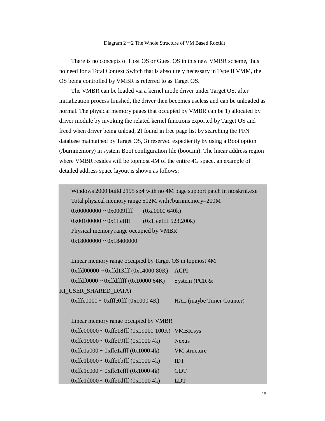There is no concepts of Host OS or Guest OS in this new VMBR scheme, thus no need for a Total Context Switch that is absolutely necessary in Type II VMM, the OS being controlled by VMBR is referred to as Target OS.

The VMBR can be loaded via a kernel mode driver under Target OS, after initialization process finished, the driver then becomes useless and can be unloaded as normal. The physical memory pages that occupied by VMBR can be 1) allocated by driver module by invoking the related kernel functions exported by Target OS and freed when driver being unload, 2) found in free page list by searching the PFN database maintained by Target OS, 3) reserved expediently by using a Boot option (/burnmemory) in system Boot configuration file (boot.ini). The linear address region where VMBR resides will be topmost 4M of the entire 4G space, an example of detailed address space layout is shown as follows:

Windows 2000 build 2195 sp4 with no 4M page support patch in ntoskrnl.exe Total physical memory range 512M with /burnmemory=200M 0x00000000 ~ 0x0009ffff (0xa0000 640k)  $0x001000000 - 0x1$  ffeffff  $(0x1$  feeffff 523,200k) Physical memory range occupied by VMBR  $0x18000000 - 0x18400000$ 

Linear memory range occupied by Target OS in topmost 4M 0xffd00000 ~ 0xffd13fff (0x14000 80K) ACPI  $0xffdf0000 \sim 0xffdfffff (0x10000 64K)$  System (PCR & KI\_USER\_SHARED\_DATA)

 $0x$ fffe $0000 \sim 0x$ fffe $0$ fff $(0x1000 \, 4K)$  HAL (maybe Timer Counter)

Linear memory range occupied by VMBR 0xffe00000 ~ 0xffe18fff (0x19000 100K) VMBR.sys  $0x$ ffe19000 ~  $0x$ ffe19fff (0x1000 4k) Nexus  $0$ xffe1a000 ~  $0$ xffe1afff  $(0x1000 4k)$  VM structure  $0x$ ffe1b000 ~ 0xffe1bfff  $(0x1000 \text{ 4k})$  IDT  $0$ xffe1c000 ~ 0xffe1cfff  $(0x1000 4k)$  GDT  $0x$ ffe $1d000 \sim 0x$ ffe $1df$ ff  $(0x1000 4k)$  LDT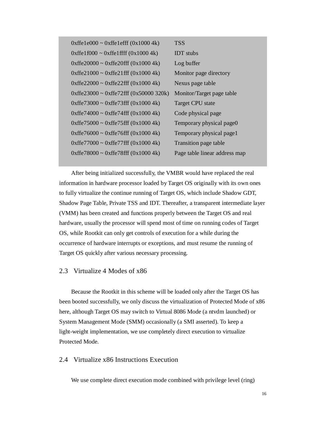| $0x$ ffe $1e000 \sim 0x$ ffe $1$ efff $(0x10004k)$  | <b>TSS</b>                    |
|-----------------------------------------------------|-------------------------------|
| $0x$ ffe1f000 ~ $0x$ ffe1ffff (0x1000 4k)           | <b>IDT</b> stubs              |
| $0x$ ffe20000 ~ $0x$ ffe20fff (0x1000 4k)           | Log buffer                    |
| $0x$ ffe $21000 \sim 0x$ ffe $21$ fff $(0x10004k)$  | Monitor page directory        |
| $0x$ ffe22000 ~ $0x$ ffe22fff (0x1000 4k)           | Nexus page table              |
| $0x$ ffe23000 ~ $0x$ ffe72fff (0x50000 320k)        | Monitor/Target page table     |
| $0x$ ffe $73000 \sim 0x$ ffe $73$ fff $(0x10004k)$  | Target CPU state              |
| $0x$ ffe $74000 \sim 0x$ ffe $74$ fff $(0x1000 4k)$ | Code physical page            |
| $0x$ ffe $75000 \sim 0x$ ffe $75$ fff $(0x10004k)$  | Temporary physical page0      |
| $0x$ ffe76000 ~ $0x$ ffe76fff (0x1000 4k)           | Temporary physical page1      |
| $0x$ ffe $77000 \sim 0x$ ffe $77$ fff $(0x10004k)$  | Transition page table         |
| $0x$ ffe $78000 \sim 0x$ ffe $78$ fff $(0x10004k)$  | Page table linear address map |
|                                                     |                               |

After being initialized successfully, the VMBR would have replaced the real information in hardware processor loaded by Target OS originally with its own ones to fully virtualize the continue running of Target OS, which include Shadow GDT, Shadow Page Table, Private TSS and IDT. Thereafter, a transparent intermediate layer (VMM) has been created and functions properly between the Target OS and real hardware, usually the processor will spend most of time on running codes of Target OS, while Rootkit can only get controls of execution for a while during the occurrence of hardware interrupts or exceptions, and must resume the running of Target OS quickly after various necessary processing.

# 2.3 Virtualize 4 Modes of x86

Because the Rootkit in this scheme will be loaded only after the Target OS has been booted successfully, we only discuss the virtualization of Protected Mode of x86 here, although Target OS may switch to Virtual 8086 Mode (a ntvdm launched) or System Management Mode (SMM) occasionally (a SMI asserted). To keep a light-weight implementation, we use completely direct execution to virtualize Protected Mode.

# 2.4 Virtualize x86 Instructions Execution

We use complete direct execution mode combined with privilege level (ring)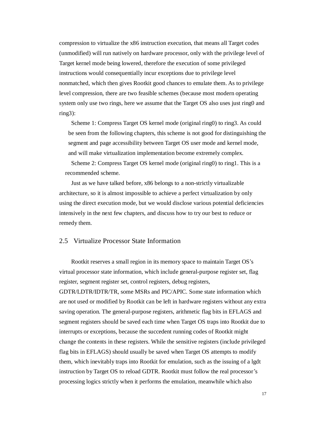compression to virtualize the x86 instruction execution, that means all Target codes (unmodified) will run natively on hardware processor, only with the privilege level of Target kernel mode being lowered, therefore the execution of some privileged instructions would consequentially incur exceptions due to privilege level nonmatched, which then gives Rootkit good chances to emulate them. As to privilege level compression, there are two feasible schemes (because most modern operating system only use two rings, here we assume that the Target OS also uses just ring0 and ring3):

Scheme 1: Compress Target OS kernel mode (original ring0) to ring3. As could be seen from the following chapters, this scheme is not good for distinguishing the segment and page accessibility between Target OS user mode and kernel mode, and will make virtualization implementation become extremely complex.

Scheme 2: Compress Target OS kernel mode (original ring0) to ring1. This is a recommended scheme.

Just as we have talked before, x86 belongs to a non-strictly virtualizable architecture, so it is almost impossible to achieve a perfect virtualization by only using the direct execution mode, but we would disclose various potential deficiencies intensively in the next few chapters, and discuss how to try our best to reduce or remedy them.

# 2.5 Virtualize Processor State Information

Rootkit reserves a small region in its memory space to maintain Target OS's virtual processor state information, which include general-purpose register set, flag register, segment register set, control registers, debug registers,

GDTR/LDTR/IDTR/TR, some MSRs and PIC/APIC. Some state information which are not used or modified by Rootkit can be left in hardware registers without any extra saving operation. The general-purpose registers, arithmetic flag bits in EFLAGS and segment registers should be saved each time when Target OS traps into Rootkit due to interrupts or exceptions, because the succedent running codes of Rootkit might change the contents in these registers. While the sensitive registers (include privileged flag bits in EFLAGS) should usually be saved when Target OS attempts to modify them, which inevitably traps into Rootkit for emulation, such as the issuing of a lgdt instruction by Target OS to reload GDTR. Rootkit must follow the real processor's processing logics strictly when it performs the emulation, meanwhile which also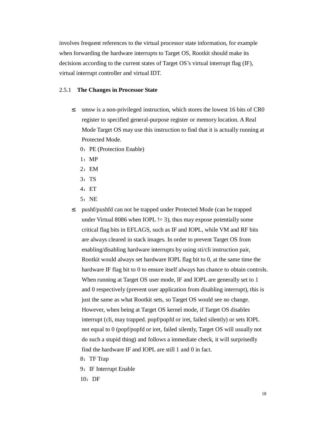involves frequent references to the virtual processor state information, for example when forwarding the hardware interrupts to Target OS, Rootkit should make its decisions according to the current states of Target OS's virtual interrupt flag (IF), virtual interrupt controller and virtual IDT.

# 2.5.1 **The Changes in Processor State**

- <sup>2</sup> smsw is a non-privileged instruction, which stores the lowest 16 bits of CR0 register to specified general-purpose register or memory location. A Real Mode Target OS may use this instruction to find that it is actually running at Protected Mode.
	- 0: PE (Protection Enable)
	- 1:MP
	- 2:EM
	- 3: TS
	- 4:ET
	- 5:NE
- <sup>2</sup> pushf/pushfd can not be trapped under Protected Mode (can be trapped under Virtual 8086 when IOPL  $l = 3$ ), thus may expose potentially some critical flag bits in EFLAGS, such as IF and IOPL, while VM and RF bits are always cleared in stack images. In order to prevent Target OS from enabling/disabling hardware interrupts by using sti/cli instruction pair, Rootkit would always set hardware IOPL flag bit to 0, at the same time the hardware IF flag bit to 0 to ensure itself always has chance to obtain controls. When running at Target OS user mode, IF and IOPL are generally set to 1 and 0 respectively (prevent user application from disabling interrupt), this is just the same as what Rootkit sets, so Target OS would see no change. However, when being at Target OS kernel mode, if Target OS disables interrupt (cli, may trapped. popf/popfd or iret, failed silently) or sets IOPL not equal to 0 (popf/popfd or iret, failed silently, Target OS will usually not do such a stupid thing) and follows a immediate check, it will surprisedly find the hardware IF and IOPL are still 1 and 0 in fact.
	- 8: TF Trap
	- 9: IF Interrupt Enable
	- $10:DF$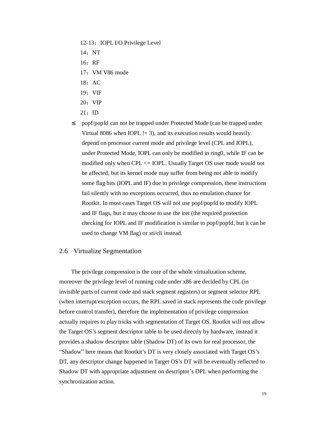- 12-13: IOPL I/O Privilege Level
- 14:NT
- 16:RF
- 17: VM V86 mode
- 18:AC
- 19:VIF
- 20: VIP
- $21:$  ID
- <sup>2</sup> popf/popfd can not be trapped under Protected Mode (can be trapped under Virtual 8086 when IOPL  $!=$  3), and its execution results would heavily depend on processor current mode and privilege level (CPL and IOPL), under Protected Mode, IOPL can only be modified in ring0, while IF can be modified only when CPL <= IOPL. Usually Target OS user mode would not be affected, but its kernel mode may suffer from being not able to modify some flag bits (IOPL and IF) due to privilege compression, these instructions fail silently with no exceptions occurred, thus no emulation chance for Rootkit. In most cases Target OS will not use popf/popfd to modify IOPL and IF flags, but it may choose to use the iret (the required protection checking for IOPL and IF modification is similar to popf/popfd, but it can be used to change VM flag) or sti/cli instead.

# 2.6 Virtualize Segmentation

The privilege compression is the core of the whole virtualization scheme, moreover the privilege level of running code under x86 are decided by CPL (in invisible parts of current code and stack segment registers) or segment selector RPL (when interrupt/exception occurs, the RPL saved in stack represents the code privilege before control transfer), therefore the implementation of privilege compression actually requires to play tricks with segmentation of Target OS. Rootkit will not allow the Target OS's segment descriptor table to be used directly by hardware, instead it provides a shadow descriptor table (Shadow DT) of its own for real processor, the "Shadow" here means that Rootkit's DT is very closely associated with Target OS's DT, any descriptor change happened in Target OS's DT will be eventually reflected to Shadow DT with appropriate adjustment on descriptor's DPL when performing the synchronization action.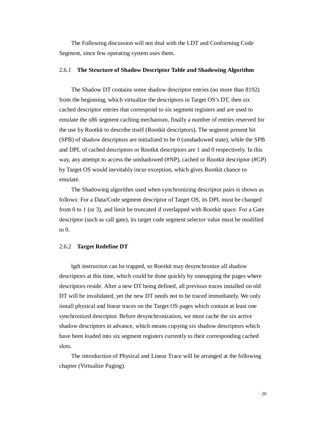The Following discussion will not deal with the LDT and Conforming Code Segment, since few operating system uses them.

# 2.6.1 **The Structure of Shadow Descriptor Table and Shadowing Algorithm**

The Shadow DT contains some shadow descriptor entries (no more than 8192) from the beginning, which virtualize the descriptors in Target OS's DT, then six cached descriptor entries that correspond to six segment registers and are used to emulate the x86 segment caching mechanism, finally a number of entries reserved for the use by Rootkit to describe itself (Rootkit descriptors). The segment present bit (SPB) of shadow descriptors are initialized to be 0 (unshadowed state), while the SPB and DPL of cached descriptors or Rootkit descriptors are 1 and 0 respectively. In this way, any attempt to access the unshadowed (#NP), cached or Rootkit descriptor (#GP) by Target OS would inevitably incur exception, which gives Rootkit chance to emulate.

The Shadowing algorithm used when synchronizing descriptor pairs is shown as follows: For a Data/Code segment descriptor of Target OS, its DPL must be changed from 0 to 1 (or 3), and limit be truncated if overlapped with Rootkit space. For a Gate descriptor (such as call gate), its target code segment selector value must be modified to 0.

#### 2.6.2 **Target Redefine DT**

lgdt instruction can be trapped, so Rootkit may desynchronize all shadow descriptors at this time, which could be done quickly by unmapping the pages where descriptors reside. After a new DT being defined, all previous traces installed on old DT will be invalidated, yet the new DT needs not to be traced immediately. We only install physical and linear traces on the Target OS pages which contain at least one synchronized descriptor. Before desynchronization, we must cache the six active shadow descriptors in advance, which means copying six shadow descriptors which have been loaded into six segment registers currently to their corresponding cached slots.

The introduction of Physical and Linear Trace will be arranged at the following chapter (Virtualize Paging).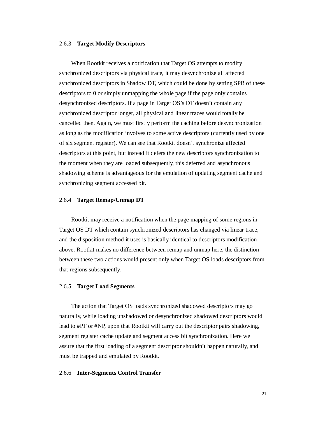## 2.6.3 **Target Modify Descriptors**

When Rootkit receives a notification that Target OS attempts to modify synchronized descriptors via physical trace, it may desynchronize all affected synchronized descriptors in Shadow DT, which could be done by setting SPB of these descriptors to 0 or simply unmapping the whole page if the page only contains desynchronized descriptors. If a page in Target OS's DT doesn't contain any synchronized descriptor longer, all physical and linear traces would totally be cancelled then. Again, we must firstly perform the caching before desynchronization as long as the modification involves to some active descriptors (currently used by one of six segment register). We can see that Rootkit doesn't synchronize affected descriptors at this point, but instead it defers the new descriptors synchronization to the moment when they are loaded subsequently, this deferred and asynchronous shadowing scheme is advantageous for the emulation of updating segment cache and synchronizing segment accessed bit.

## 2.6.4 **Target Remap/Unmap DT**

Rootkit may receive a notification when the page mapping of some regions in Target OS DT which contain synchronized descriptors has changed via linear trace, and the disposition method it uses is basically identical to descriptors modification above. Rootkit makes no difference between remap and unmap here, the distinction between these two actions would present only when Target OS loads descriptors from that regions subsequently.

### 2.6.5 **Target Load Segments**

The action that Target OS loads synchronized shadowed descriptors may go naturally, while loading unshadowed or desynchronized shadowed descriptors would lead to #PF or #NP, upon that Rootkit will carry out the descriptor pairs shadowing, segment register cache update and segment access bit synchronization. Here we assure that the first loading of a segment descriptor shouldn't happen naturally, and must be trapped and emulated by Rootkit.

#### 2.6.6 **Inter-Segments Control Transfer**

21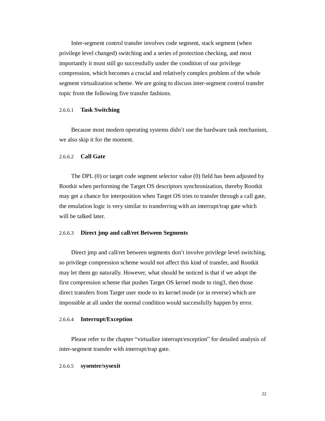Inter-segment control transfer involves code segment, stack segment (when privilege level changed) switching and a series of protection checking, and most importantly it must still go successfully under the condition of our privilege compression, which becomes a crucial and relatively complex problem of the whole segment virtualization scheme. We are going to discuss inter-segment control transfer topic from the following five transfer fashions.

#### 2.6.6.1 **Task Switching**

Because most modern operating systems didn't use the hardware task mechanism, we also skip it for the moment.

# 2.6.6.2 **Call Gate**

The DPL (0) or target code segment selector value (0) field has been adjusted by Rootkit when performing the Target OS descriptors synchronization, thereby Rootkit may get a chance for interposition when Target OS tries to transfer through a call gate, the emulation logic is very similar to transferring with an interrupt/trap gate which will be talked later.

#### 2.6.6.3 **Direct jmp and call/ret Between Segments**

Direct jmp and call/ret between segments don't involve privilege level switching, so privilege compression scheme would not affect this kind of transfer, and Rootkit may let them go naturally. However, what should be noticed is that if we adopt the first compression scheme that pushes Target OS kernel mode to ring3, then those direct transfers from Target user mode to its kernel mode (or in reverse) which are impossible at all under the normal condition would successfully happen by error.

### 2.6.6.4 **Interrupt/Exception**

Please refer to the chapter "virtualize interrupt/exception" for detailed analysis of inter-segment transfer with interrupt/trap gate.

### 2.6.6.5 **sysenter/sysexit**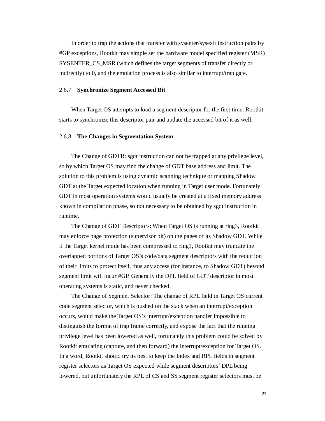In order to trap the actions that transfer with sysenter/sysexit instruction pairs by #GP exceptions, Rootkit may simple set the hardware model specified register (MSR) SYSENTER\_CS\_MSR (which defines the target segments of transfer directly or indirectly) to 0, and the emulation process is also similar to interrupt/trap gate.

# 2.6.7 **Synchronize Segment Accessed Bit**

When Target OS attempts to load a segment descriptor for the first time, Rootkit starts to synchronize this descriptor pair and update the accessed bit of it as well.

### 2.6.8 **The Changes in Segmentation System**

The Change of GDTR: sgdt instruction can not be trapped at any privilege level, so by which Target OS may find the change of GDT base address and limit. The solution to this problem is using dynamic scanning technique or mapping Shadow GDT at the Target expected location when running in Target user mode. Fortunately GDT in most operation systems would usually be created at a fixed memory address known in compilation phase, so not necessary to be obtained by sgdt instruction in runtime.

The Change of GDT Descriptors: When Target OS is running at ring3, Rootkit may enforce page protection (supervisor bit) on the pages of its Shadow GDT. While if the Target kernel mode has been compressed to ring1, Rootkit may truncate the overlapped portions of Target OS's code/data segment descriptors with the reduction of their limits to protect itself, thus any access (for instance, to Shadow GDT) beyond segment limit will incur #GP. Generally the DPL field of GDT descriptor in most operating systems is static, and never checked.

The Change of Segment Selector: The change of RPL field in Target OS current code segment selector, which is pushed on the stack when an interrupt/exception occurs, would make the Target OS's interrupt/exception handler impossible to distinguish the format of trap frame correctly, and expose the fact that the running privilege level has been lowered as well, fortunately this problem could be solved by Rootkit emulating (capture, and then forward) the interrupt/exception for Target OS. In a word, Rootkit should try its best to keep the Index and RPL fields in segment register selectors as Target OS expected while segment descriptors' DPL being lowered, but unfortunately the RPL of CS and SS segment register selectors must be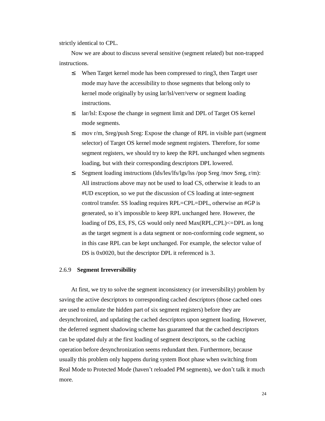strictly identical to CPL.

Now we are about to discuss several sensitive (segment related) but non-trapped instructions.

- <sup>2</sup> When Target kernel mode has been compressed to ring3, then Target user mode may have the accessibility to those segments that belong only to kernel mode originally by using lar/lsl/verr/verw or segment loading instructions.
- <sup>2</sup> lar/lsl: Expose the change in segment limit and DPL of Target OS kernel mode segments.
- <sup>2</sup> mov r/m, Sreg/push Sreg: Expose the change of RPL in visible part (segment) selector) of Target OS kernel mode segment registers. Therefore, for some segment registers, we should try to keep the RPL unchanged when segments loading, but with their corresponding descriptors DPL lowered.
- ² Segment loading instructions (lds/les/lfs/lgs/lss /pop Sreg /mov Sreg, r/m): All instructions above may not be used to load CS, otherwise it leads to an #UD exception, so we put the discussion of CS loading at inter-segment control transfer. SS loading requires RPL=CPL=DPL, otherwise an #GP is generated, so it's impossible to keep RPL unchanged here. However, the loading of DS, ES, FS, GS would only need Max(RPL,CPL)<=DPL as long as the target segment is a data segment or non-conforming code segment, so in this case RPL can be kept unchanged. For example, the selector value of DS is 0x0020, but the descriptor DPL it referenced is 3.

### 2.6.9 **Segment Irreversibility**

At first, we try to solve the segment inconsistency (or irreversibility) problem by saving the active descriptors to corresponding cached descriptors (those cached ones are used to emulate the hidden part of six segment registers) before they are desynchronized, and updating the cached descriptors upon segment loading. However, the deferred segment shadowing scheme has guaranteed that the cached descriptors can be updated duly at the first loading of segment descriptors, so the caching operation before desynchronization seems redundant then. Furthermore, because usually this problem only happens during system Boot phase when switching from Real Mode to Protected Mode (haven't reloaded PM segments), we don't talk it much more.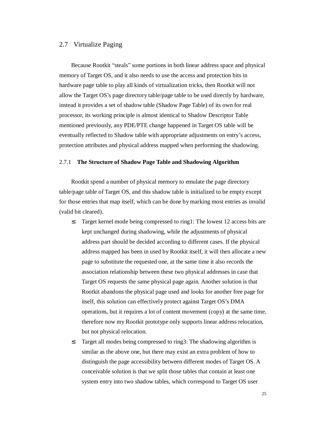# 2.7 Virtualize Paging

Because Rootkit "steals" some portions in both linear address space and physical memory of Target OS, and it also needs to use the access and protection bits in hardware page table to play all kinds of virtualization tricks, then Rootkit will not allow the Target OS's page directory table/page table to be used directly by hardware, instead it provides a set of shadow table (Shadow Page Table) of its own for real processor, its working principle is almost identical to Shadow Descriptor Table mentioned previously, any PDE/PTE change happened in Target OS table will be eventually reflected to Shadow table with appropriate adjustments on entry's access, protection attributes and physical address mapped when performing the shadowing.

# 2.7.1 **The Structure of Shadow Page Table and Shadowing Algorithm**

Rootkit spend a number of physical memory to emulate the page directory table/page table of Target OS, and this shadow table is initialized to be empty except for those entries that map itself, which can be done by marking most entries as invalid (valid bit cleared).

- <sup>2</sup> Target kernel mode being compressed to ring1: The lowest 12 access bits are kept unchanged during shadowing, while the adjustments of physical address part should be decided according to different cases. If the physical address mapped has been in used by Rootkit itself, it will then allocate a new page to substitute the requested one, at the same time it also records the association relationship between these two physical addresses in case that Target OS requests the same physical page again. Another solution is that Rootkit abandons the physical page used and looks for another free page for itself, this solution can effectively protect against Target OS's DMA operations, but it requires a lot of content movement (copy) at the same time, therefore now my Rootkit prototype only supports linear address relocation, but not physical relocation.
- <sup>2</sup> Target all modes being compressed to ring3: The shadowing algorithm is similar as the above one, but there may exist an extra problem of how to distinguish the page accessibility between different modes of Target OS. A conceivable solution is that we split those tables that contain at least one system entry into two shadow tables, which correspond to Target OS user

25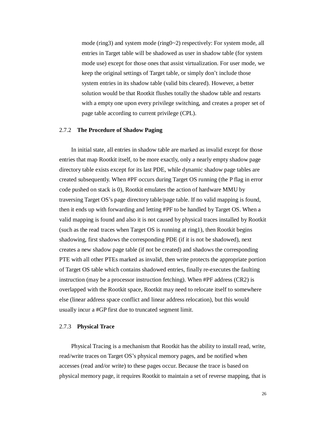mode (ring3) and system mode (ring0~2) respectively: For system mode, all entries in Target table will be shadowed as user in shadow table (for system mode use) except for those ones that assist virtualization. For user mode, we keep the original settings of Target table, or simply don't include those system entries in its shadow table (valid bits cleared). However, a better solution would be that Rootkit flushes totally the shadow table and restarts with a empty one upon every privilege switching, and creates a proper set of page table according to current privilege (CPL).

### 2.7.2 **The Procedure of Shadow Paging**

In initial state, all entries in shadow table are marked as invalid except for those entries that map Rootkit itself, to be more exactly, only a nearly empty shadow page directory table exists except for its last PDE, while dynamic shadow page tables are created subsequently. When #PF occurs during Target OS running (the P flag in error code pushed on stack is 0), Rootkit emulates the action of hardware MMU by traversing Target OS's page directory table/page table. If no valid mapping is found, then it ends up with forwarding and letting #PF to be handled by Target OS. When a valid mapping is found and also it is not caused by physical traces installed by Rootkit (such as the read traces when Target OS is running at ring1), then Rootkit begins shadowing, first shadows the corresponding PDE (if it is not be shadowed), next creates a new shadow page table (if not be created) and shadows the corresponding PTE with all other PTEs marked as invalid, then write protects the appropriate portion of Target OS table which contains shadowed entries, finally re-executes the faulting instruction (may be a processor instruction fetching). When #PF address (CR2) is overlapped with the Rootkit space, Rootkit may need to relocate itself to somewhere else (linear address space conflict and linear address relocation), but this would usually incur a #GP first due to truncated segment limit.

#### 2.7.3 **Physical Trace**

Physical Tracing is a mechanism that Rootkit has the ability to install read, write, read/write traces on Target OS's physical memory pages, and be notified when accesses (read and/or write) to these pages occur. Because the trace is based on physical memory page, it requires Rootkit to maintain a set of reverse mapping, that is

26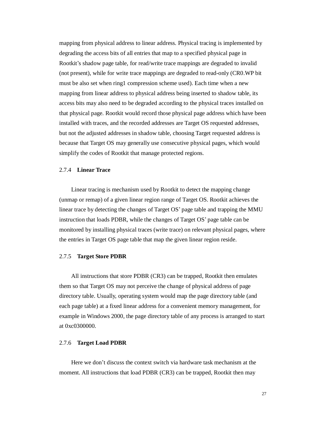mapping from physical address to linear address. Physical tracing is implemented by degrading the access bits of all entries that map to a specified physical page in Rootkit's shadow page table, for read/write trace mappings are degraded to invalid (not present), while for write trace mappings are degraded to read-only (CR0.WP bit must be also set when ring1 compression scheme used). Each time when a new mapping from linear address to physical address being inserted to shadow table, its access bits may also need to be degraded according to the physical traces installed on that physical page. Rootkit would record those physical page address which have been installed with traces, and the recorded addresses are Target OS requested addresses, but not the adjusted addresses in shadow table, choosing Target requested address is because that Target OS may generally use consecutive physical pages, which would simplify the codes of Rootkit that manage protected regions.

### 2.7.4 **Linear Trace**

Linear tracing is mechanism used by Rootkit to detect the mapping change (unmap or remap) of a given linear region range of Target OS. Rootkit achieves the linear trace by detecting the changes of Target OS' page table and trapping the MMU instruction that loads PDBR, while the changes of Target OS' page table can be monitored by installing physical traces (write trace) on relevant physical pages, where the entries in Target OS page table that map the given linear region reside.

#### 2.7.5 **Target Store PDBR**

All instructions that store PDBR (CR3) can be trapped, Rootkit then emulates them so that Target OS may not perceive the change of physical address of page directory table. Usually, operating system would map the page directory table (and each page table) at a fixed linear address for a convenient memory management, for example in Windows 2000, the page directory table of any process is arranged to start at 0xc0300000.

### 2.7.6 **Target Load PDBR**

Here we don't discuss the context switch via hardware task mechanism at the moment. All instructions that load PDBR (CR3) can be trapped, Rootkit then may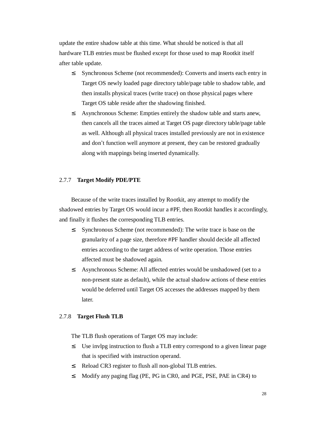update the entire shadow table at this time. What should be noticed is that all hardware TLB entries must be flushed except for those used to map Rootkit itself after table update.

- <sup>2</sup> Synchronous Scheme (not recommended): Converts and inserts each entry in Target OS newly loaded page directory table/page table to shadow table, and then installs physical traces (write trace) on those physical pages where Target OS table reside after the shadowing finished.
- <sup>2</sup> Asynchronous Scheme: Empties entirely the shadow table and starts anew, then cancels all the traces aimed at Target OS page directory table/page table as well. Although all physical traces installed previously are not in existence and don't function well anymore at present, they can be restored gradually along with mappings being inserted dynamically.

# 2.7.7 **Target Modify PDE/PTE**

Because of the write traces installed by Rootkit, any attempt to modify the shadowed entries by Target OS would incur a #PF, then Rootkit handles it accordingly, and finally it flushes the corresponding TLB entries.

- <sup>2</sup> Synchronous Scheme (not recommended): The write trace is base on the granularity of a page size, therefore #PF handler should decide all affected entries according to the target address of write operation. Those entries affected must be shadowed again.
- ² Asynchronous Scheme: All affected entries would be unshadowed (set to a non-present state as default), while the actual shadow actions of these entries would be deferred until Target OS accesses the addresses mapped by them later.

# 2.7.8 **Target Flush TLB**

The TLB flush operations of Target OS may include:

- <sup>2</sup> Use invlpg instruction to flush a TLB entry correspond to a given linear page that is specified with instruction operand.
- ² Reload CR3 register to flush all non-global TLB entries.
- <sup>2</sup> Modify any paging flag (PE, PG in CR0, and PGE, PSE, PAE in CR4) to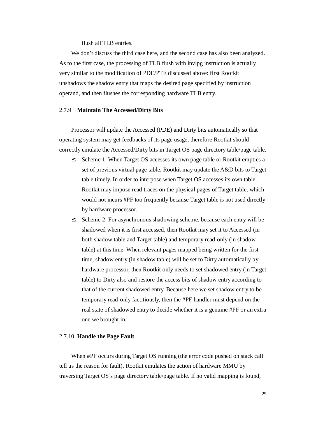flush all TLB entries.

We don't discuss the third case here, and the second case has also been analyzed. As to the first case, the processing of TLB flush with invlpg instruction is actually very similar to the modification of PDE/PTE discussed above: first Rootkit unshadows the shadow entry that maps the desired page specified by instruction operand, and then flushes the corresponding hardware TLB entry.

#### 2.7.9 **Maintain The Accessed/Dirty Bits**

Processor will update the Accessed (PDE) and Dirty bits automatically so that operating system may get feedbacks of its page usage, therefore Rootkit should correctly emulate the Accessed/Dirty bits in Target OS page directory table/page table.

- <sup>2</sup> Scheme 1: When Target OS accesses its own page table or Rootkit empties a set of previous virtual page table, Rootkit may update the A&D bits to Target table timely. In order to interpose when Target OS accesses its own table, Rootkit may impose read traces on the physical pages of Target table, which would not incurs #PF too frequently because Target table is not used directly by hardware processor.
- <sup>2</sup> Scheme 2: For asynchronous shadowing scheme, because each entry will be shadowed when it is first accessed, then Rootkit may set it to Accessed (in both shadow table and Target table) and temporary read-only (in shadow table) at this time. When relevant pages mapped being written for the first time, shadow entry (in shadow table) will be set to Dirty automatically by hardware processor, then Rootkit only needs to set shadowed entry (in Target table) to Dirty also and restore the access bits of shadow entry according to that of the current shadowed entry. Because here we set shadow entry to be temporary read-only factitiously, then the #PF handler must depend on the real state of shadowed entry to decide whether it is a genuine #PF or an extra one we brought in.

# 2.7.10 **Handle the Page Fault**

When #PF occurs during Target OS running (the error code pushed on stack call tell us the reason for fault), Rootkit emulates the action of hardware MMU by traversing Target OS's page directory table/page table. If no valid mapping is found,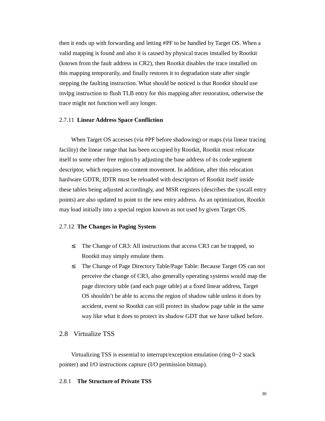then it ends up with forwarding and letting #PF to be handled by Target OS. When a valid mapping is found and also it is caused by physical traces installed by Rootkit (known from the fault address in CR2), then Rootkit disables the trace installed on this mapping temporarily, and finally restores it to degradation state after single stepping the faulting instruction. What should be noticed is that Rootkit should use invlpg instruction to flush TLB entry for this mapping after restoration, otherwise the trace might not function well any longer.

### 2.7.11 **Linear Address Space Confliction**

When Target OS accesses (via #PF before shadowing) or maps (via linear tracing facility) the linear range that has been occupied by Rootkit, Rootkit must relocate itself to some other free region by adjusting the base address of its code segment descriptor, which requires no content movement. In addition, after this relocation hardware GDTR, IDTR must be reloaded with descriptors of Rootkit itself inside these tables being adjusted accordingly, and MSR registers (describes the syscall entry points) are also updated to point to the new entry address. As an optimization, Rootkit may load initially into a special region known as not used by given Target OS.

# 2.7.12 **The Changes in Paging System**

- <sup>2</sup> The Change of CR3: All instructions that access CR3 can be trapped, so Rootkit may simply emulate them.
- <sup>2</sup> The Change of Page Directory Table/Page Table: Because Target OS can not perceive the change of CR3, also generally operating systems would map the page directory table (and each page table) at a fixed linear address, Target OS shouldn't be able to access the region of shadow table unless it does by accident, event so Rootkit can still protect its shadow page table in the same way like what it does to protect its shadow GDT that we have talked before.

# 2.8 Virtualize TSS

Virtualizing TSS is essential to interrupt/exception emulation (ring 0~2 stack pointer) and I/O instructions capture (I/O permission bitmap).

## 2.8.1 **The Structure of Private TSS**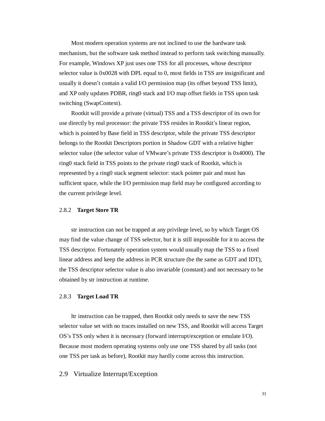Most modern operation systems are not inclined to use the hardware task mechanism, but the software task method instead to perform task switching manually. For example, Windows XP just uses one TSS for all processes, whose descriptor selector value is 0x0028 with DPL equal to 0, most fields in TSS are insignificant and usually it doesn't contain a valid I/O permission map (its offset beyond TSS limit), and XP only updates PDBR, ring0 stack and I/O map offset fields in TSS upon task switching (SwapContext).

Rootkit will provide a private (virtual) TSS and a TSS descriptor of its own for use directly by real processor: the private TSS resides in Rootkit's linear region, which is pointed by Base field in TSS descriptor, while the private TSS descriptor belongs to the Rootkit Descriptors portion in Shadow GDT with a relative higher selector value (the selector value of VMware's private TSS descriptor is 0x4000). The ring0 stack field in TSS points to the private ring0 stack of Rootkit, which is represented by a ring0 stack segment selector: stack pointer pair and must has sufficient space, while the I/O permission map field may be configured according to the current privilege level.

## 2.8.2 **Target Store TR**

str instruction can not be trapped at any privilege level, so by which Target OS may find the value change of TSS selector, but it is still impossible for it to access the TSS descriptor. Fortunately operation system would usually map the TSS to a fixed linear address and keep the address in PCR structure (be the same as GDT and IDT), the TSS descriptor selector value is also invariable (constant) and not necessary to be obtained by str instruction at runtime.

### 2.8.3 **Target Load TR**

ltr instruction can be trapped, then Rootkit only needs to save the new TSS selector value set with no traces installed on new TSS, and Rootkit will access Target OS's TSS only when it is necessary (forward interrupt/exception or emulate I/O). Because most modern operating systems only use one TSS shared by all tasks (not one TSS per task as before), Rootkit may hardly come across this instruction.

# 2.9 Virtualize Interrupt/Exception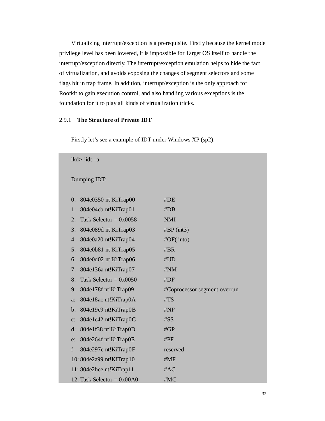Virtualizing interrupt/exception is a prerequisite. Firstly because the kernel mode privilege level has been lowered, it is impossible for Target OS itself to handle the interrupt/exception directly. The interrupt/exception emulation helps to hide the fact of virtualization, and avoids exposing the changes of segment selectors and some flags bit in trap frame. In addition, interrupt/exception is the only approach for Rootkit to gain execution control, and also handling various exceptions is the foundation for it to play all kinds of virtualization tricks.

# 2.9.1 **The Structure of Private IDT**

| $lkd$ !idt -a                          |                              |
|----------------------------------------|------------------------------|
| Dumping IDT:                           |                              |
| 804e0350 nt!KiTrap00<br>0:             | #DE                          |
| 804e04cb nt!KiTrap01<br>1:             | #DB                          |
| Task Selector = $0x0058$<br>2:         | <b>NMI</b>                   |
| 3:<br>804e089d nt!KiTrap03             | #BP(int3)                    |
| 804e0a20 nt!KiTrap04<br>4:             | #OF(into)                    |
| 804e0b81 nt!KiTrap05<br>5:             | #BR                          |
| 804e0d02 nt!KiTrap06<br>6:             | #UD                          |
| 804e136a nt!KiTrap07<br>7:             | #NM                          |
| Task Selector = $0x0050$<br>8:         | #DF                          |
| 804e178f nt!KiTrap09<br>9:             | #Coprocessor segment overrun |
| 804e18ac nt!KiTrap0A<br>a:             | #TS                          |
| 804e19e9 nt!KiTrap0B<br>$\mathbf{b}$ : | #NP                          |
| 804e1c42 nt!KiTrap0C<br>$\mathbf{C}$ : | #SS                          |
| 804e1f38 nt!KiTrap0D<br>$d$ :          | #GP                          |
| 804e264f nt!KiTrap0E<br>$e$ :          | #PF                          |
| 804e297c nt!KiTrap0F<br>f:             | reserved                     |
| 10: 804e2a99 nt!KiTrap10               | #MF                          |
| 11: 804e2bce nt!KiTrap11               | #AC                          |
| 12: Task Selector = $0x00A0$           | #MC                          |

Firstly let's see a example of IDT under Windows XP (sp2):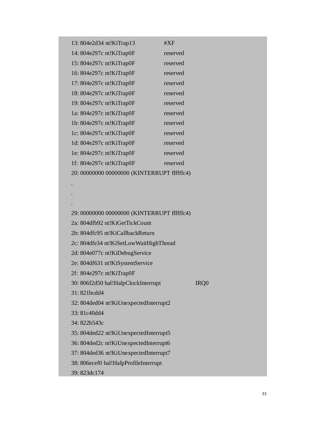| #XF                                          |
|----------------------------------------------|
| reserved                                     |
| reserved                                     |
| reserved                                     |
| reserved                                     |
| reserved                                     |
| reserved                                     |
| reserved                                     |
| reserved                                     |
| reserved                                     |
| reserved                                     |
| reserved                                     |
| reserved                                     |
| 20: 00000000 000000000 (KINTERRUPT ffffffc4) |
|                                              |
|                                              |
|                                              |

29: 00000000 00000000 (KINTERRUPT ffffffc4) 2a: 804dfb92 nt!KiGetTickCount 2b: 804dfc95 nt!KiCallbackReturn 2c: 804dfe34 nt!KiSetLowWaitHighThread 2d: 804e077c nt!KiDebugService 2e: 804df631 nt!KiSystemService 2f: 804e297c nt!KiTrap0F 30: 806f2d50 hal!HalpClockInterrupt IRQ0 31: 821bcdd4 32: 804ded04 nt!KiUnexpectedInterrupt2 33: 81c40dd4 34: 822b543c 35: 804ded22 nt!KiUnexpectedInterrupt5 36: 804ded2c nt!KiUnexpectedInterrupt6 37: 804ded36 nt!KiUnexpectedInterrupt7 38: 806ecef0 hal!HalpProfileInterrupt

39: 823dc174

.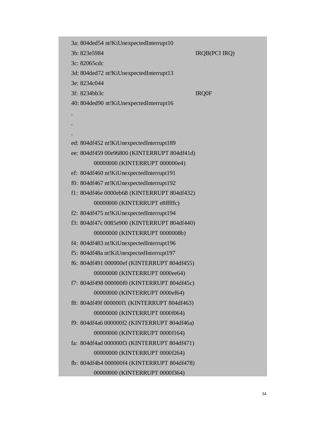3a: 804ded54 nt!KiUnexpectedInterrupt10

3b: 823e5984 IRQB(PCI IRQ)

3c: 82065cdc

3d: 804ded72 nt!KiUnexpectedInterrupt13

3e: 8234c044

. . .

3f: 8234bb3c IRQ0F

40: 804ded90 nt!KiUnexpectedInterrupt16

ed: 804df452 nt!KiUnexpectedInterrupt189 ee: 804df459 00e96800 (KINTERRUPT 804df41d) 00000000 (KINTERRUPT 000000e4)

ef: 804df460 nt!KiUnexpectedInterrupt191

f0: 804df467 nt!KiUnexpectedInterrupt192

f1: 804df46e 0000eb68 (KINTERRUPT 804df432) 00000000 (KINTERRUPT e8fffffc)

f2: 804df475 nt!KiUnexpectedInterrupt194

f3: 804df47c 0085e900 (KINTERRUPT 804df440) 00000000 (KINTERRUPT 0000008b)

f4: 804df483 nt!KiUnexpectedInterrupt196

f5: 804df48a nt!KiUnexpectedInterrupt197

f6: 804df491 000000ef (KINTERRUPT 804df455) 00000000 (KINTERRUPT 0000ee64)

f7: 804df498 000000f0 (KINTERRUPT 804df45c) 00000000 (KINTERRUPT 0000ef64)

f8: 804df49f 000000f1 (KINTERRUPT 804df463) 00000000 (KINTERRUPT 0000f064)

f9: 804df4a6 000000f2 (KINTERRUPT 804df46a) 00000000 (KINTERRUPT 0000f164)

fa: 804df4ad 000000f3 (KINTERRUPT 804df471) 00000000 (KINTERRUPT 0000f264)

fb: 804df4b4 000000f4 (KINTERRUPT 804df478)

00000000 (KINTERRUPT 0000f364)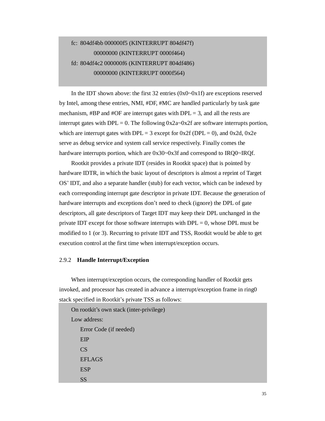# fc: 804df4bb 000000f5 (KINTERRUPT 804df47f) 00000000 (KINTERRUPT 0000f464) fd: 804df4c2 000000f6 (KINTERRUPT 804df486) 00000000 (KINTERRUPT 0000f564)

In the IDT shown above: the first 32 entries (0x0~0x1f) are exceptions reserved by Intel, among these entries, NMI, #DF, #MC are handled particularly by task gate mechanism,  $\#BP$  and  $\#OF$  are interrupt gates with  $DPL = 3$ , and all the rests are interrupt gates with DPL = 0. The following  $0x2a-0x2f$  are software interrupts portion, which are interrupt gates with DPL = 3 except for  $0x2f$  (DPL = 0), and  $0x2d$ ,  $0x2e$ serve as debug service and system call service respectively. Finally comes the hardware interrupts portion, which are  $0x30-0x3f$  and correspond to IRQ0~IRQf.

Rootkit provides a private IDT (resides in Rootkit space) that is pointed by hardware IDTR, in which the basic layout of descriptors is almost a reprint of Target OS' IDT, and also a separate handler (stub) for each vector, which can be indexed by each corresponding interrupt gate descriptor in private IDT. Because the generation of hardware interrupts and exceptions don't need to check (ignore) the DPL of gate descriptors, all gate descriptors of Target IDT may keep their DPL unchanged in the private IDT except for those software interrupts with  $DPL = 0$ , whose DPL must be modified to 1 (or 3). Recurring to private IDT and TSS, Rootkit would be able to get execution control at the first time when interrupt/exception occurs.

### 2.9.2 **Handle Interrupt/Exception**

When interrupt/exception occurs, the corresponding handler of Rootkit gets invoked, and processor has created in advance a interrupt/exception frame in ring0 stack specified in Rootkit's private TSS as follows:

On rootkit's own stack (inter-privilege) Low address: Error Code (if needed) EIP CS EFLAGS **ESP** SS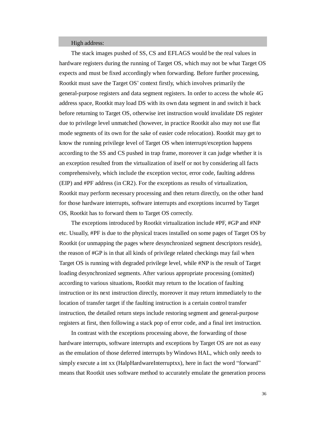#### High address:

The stack images pushed of SS, CS and EFLAGS would be the real values in hardware registers during the running of Target OS, which may not be what Target OS expects and must be fixed accordingly when forwarding. Before further processing, Rootkit must save the Target OS' context firstly, which involves primarily the general-purpose registers and data segment registers. In order to access the whole 4G address space, Rootkit may load DS with its own data segment in and switch it back before returning to Target OS, otherwise iret instruction would invalidate DS register due to privilege level unmatched (however, in practice Rootkit also may not use flat mode segments of its own for the sake of easier code relocation). Rootkit may get to know the running privilege level of Target OS when interrupt/exception happens according to the SS and CS pushed in trap frame, moreover it can judge whether it is an exception resulted from the virtualization of itself or not by considering all facts comprehensively, which include the exception vector, error code, faulting address (EIP) and #PF address (in CR2). For the exceptions as results of virtualization, Rootkit may perform necessary processing and then return directly, on the other hand for those hardware interrupts, software interrupts and exceptions incurred by Target OS, Rootkit has to forward them to Target OS correctly.

The exceptions introduced by Rootkit virtualization include #PF, #GP and #NP etc. Usually, #PF is due to the physical traces installed on some pages of Target OS by Rootkit (or unmapping the pages where desynchronized segment descriptors reside), the reason of #GP is in that all kinds of privilege related checkings may fail when Target OS is running with degraded privilege level, while #NP is the result of Target loading desynchronized segments. After various appropriate processing (omitted) according to various situations, Rootkit may return to the location of faulting instruction or its next instruction directly, moreover it may return immediately to the location of transfer target if the faulting instruction is a certain control transfer instruction, the detailed return steps include restoring segment and general-purpose registers at first, then following a stack pop of error code, and a final iret instruction.

In contrast with the exceptions processing above, the forwarding of those hardware interrupts, software interrupts and exceptions by Target OS are not as easy as the emulation of those deferred interrupts by Windows HAL, which only needs to simply execute a int xx (HalpHardwareInterruptxx), here in fact the word "forward" means that Rootkit uses software method to accurately emulate the generation process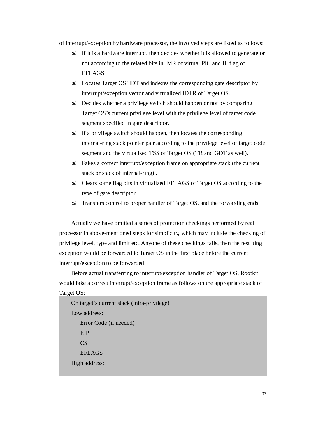of interrupt/exception by hardware processor, the involved steps are listed as follows:

- <sup>2</sup> If it is a hardware interrupt, then decides whether it is allowed to generate or not according to the related bits in IMR of virtual PIC and IF flag of EFLAGS.
- <sup>2</sup> Locates Target OS' IDT and indexes the corresponding gate descriptor by interrupt/exception vector and virtualized IDTR of Target OS.
- <sup>2</sup> Decides whether a privilege switch should happen or not by comparing Target OS's current privilege level with the privilege level of target code segment specified in gate descriptor.
- <sup>2</sup> If a privilege switch should happen, then locates the corresponding internal-ring stack pointer pair according to the privilege level of target code segment and the virtualized TSS of Target OS (TR and GDT as well).
- <sup>2</sup> Fakes a correct interrupt/exception frame on appropriate stack (the current stack or stack of internal-ring) .
- <sup>2</sup> Clears some flag bits in virtualized EFLAGS of Target OS according to the type of gate descriptor.
- <sup>2</sup> Transfers control to proper handler of Target OS, and the forwarding ends.

Actually we have omitted a series of protection checkings performed by real processor in above-mentioned steps for simplicity, which may include the checking of privilege level, type and limit etc. Anyone of these checkings fails, then the resulting exception would be forwarded to Target OS in the first place before the current interrupt/exception to be forwarded.

Before actual transferring to interrupt/exception handler of Target OS, Rootkit would fake a correct interrupt/exception frame as follows on the appropriate stack of Target OS:

On target's current stack (intra-privilege) Low address: Error Code (if needed) EIP CS EFLAGS High address: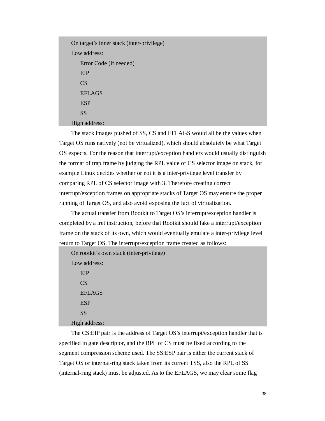On target's inner stack (inter-privilege) Low address: Error Code (if needed) EIP CS EFLAGS ESP SS High address:

The stack images pushed of SS, CS and EFLAGS would all be the values when Target OS runs natively (not be virtualized), which should absolutely be what Target OS expects. For the reason that interrupt/exception handlers would usually distinguish the format of trap frame by judging the RPL value of CS selector image on stack, for example Linux decides whether or not it is a inter-privilege level transfer by comparing RPL of CS selector image with 3. Therefore creating correct interrupt/exception frames on appropriate stacks of Target OS may ensure the proper running of Target OS, and also avoid exposing the fact of virtualization.

The actual transfer from Rootkit to Target OS's interrupt/exception handler is completed by a iret instruction, before that Rootkit should fake a interrupt/exception frame on the stack of its own, which would eventually emulate a inter-privilege level return to Target OS. The interrupt/exception frame created as follows:

```
On rootkit's own stack (inter-privilege) 
Low address: 
   EIP 
   CS 
   EFLAGS 
   ESP 
   SS 
High address:
```
The CS:EIP pair is the address of Target OS's interrupt/exception handler that is specified in gate descriptor, and the RPL of CS must be fixed according to the segment compression scheme used. The SS:ESP pair is either the current stack of Target OS or internal-ring stack taken from its current TSS, also the RPL of SS (internal-ring stack) must be adjusted. As to the EFLAGS, we may clear some flag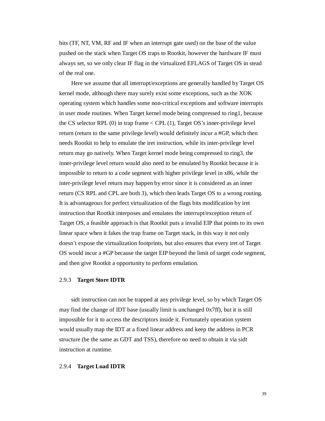bits (TF, NT, VM, RF and IF when an interrupt gate used) on the base of the value pushed on the stack when Target OS traps to Rootkit, however the hardware IF must always set, so we only clear IF flag in the virtualized EFLAGS of Target OS in stead of the real one.

Here we assume that all interrupt/exceptions are generally handled by Target OS kernel mode, although there may surely exist some exceptions, such as the XOK operating system which handles some non-critical exceptions and software interrupts in user mode routines. When Target kernel mode being compressed to ring1, because the CS selector RPL (0) in trap frame < CPL (1), Target OS's inner-privilege level return (return to the same privilege level) would definitely incur a #GP, which then needs Rootkit to help to emulate the iret instruction, while its inter-privilege level return may go natively. When Target kernel mode being compressed to ring3, the inner-privilege level return would also need to be emulated by Rootkit because it is impossible to return to a code segment with higher privilege level in x86, while the inter-privilege level return may happen by error since it is considered as an inner return (CS RPL and CPL are both 3), which then leads Target OS to a wrong routing. It is advantageous for perfect virtualization of the flags bits modification by iret instruction that Rootkit interposes and emulates the interrupt/exception return of Target OS, a feasible approach is that Rootkit puts a invalid EIP that points to its own linear space when it fakes the trap frame on Target stack, in this way it not only doesn't expose the virtualization footprints, but also ensures that every iret of Target OS would incur a #GP because the target EIP beyond the limit of target code segment, and then give Rootkit a opportunity to perform emulation.

### 2.9.3 **Target Store IDTR**

sidt instruction can not be trapped at any privilege level, so by which Target OS may find the change of IDT base (usually limit is unchanged 0x7ff), but it is still impossible for it to access the descriptors inside it. Fortunately operation system would usually map the IDT at a fixed linear address and keep the address in PCR structure (be the same as GDT and TSS), therefore no need to obtain it via sidt instruction at runtime.

#### 2.9.4 **Target Load IDTR**

39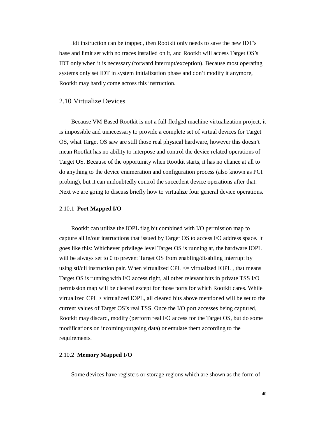lidt instruction can be trapped, then Rootkit only needs to save the new IDT's base and limit set with no traces installed on it, and Rootkit will access Target OS's IDT only when it is necessary (forward interrupt/exception). Because most operating systems only set IDT in system initialization phase and don't modify it anymore, Rootkit may hardly come across this instruction.

# 2.10 Virtualize Devices

Because VM Based Rootkit is not a full-fledged machine virtualization project, it is impossible and unnecessary to provide a complete set of virtual devices for Target OS, what Target OS saw are still those real physical hardware, however this doesn't mean Rootkit has no ability to interpose and control the device related operations of Target OS. Because of the opportunity when Rootkit starts, it has no chance at all to do anything to the device enumeration and configuration process (also known as PCI probing), but it can undoubtedly control the succedent device operations after that. Next we are going to discuss briefly how to virtualize four general device operations.

#### 2.10.1 **Port Mapped I/O**

Rootkit can utilize the IOPL flag bit combined with I/O permission map to capture all in/out instructions that issued by Target OS to access I/O address space. It goes like this: Whichever privilege level Target OS is running at, the hardware IOPL will be always set to 0 to prevent Target OS from enabling/disabling interrupt by using sti/cli instruction pair. When virtualized CPL  $\leq$  virtualized IOPL, that means Target OS is running with I/O access right, all other relevant bits in private TSS I/O permission map will be cleared except for those ports for which Rootkit cares. While virtualized CPL > virtualized IOPL, all cleared bits above mentioned will be set to the current values of Target OS's real TSS. Once the I/O port accesses being captured, Rootkit may discard, modify (perform real I/O access for the Target OS, but do some modifications on incoming/outgoing data) or emulate them according to the requirements.

#### 2.10.2 **Memory Mapped I/O**

Some devices have registers or storage regions which are shown as the form of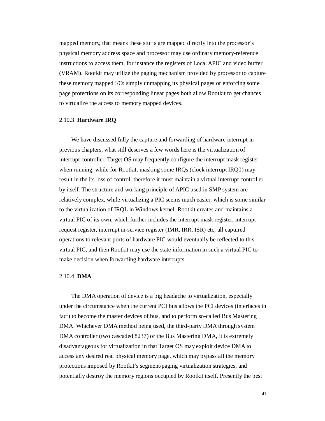mapped memory, that means these stuffs are mapped directly into the processor's physical memory address space and processor may use ordinary memory-reference instructions to access them, for instance the registers of Local APIC and video buffer (VRAM). Rootkit may utilize the paging mechanism provided by processor to capture these memory mapped I/O: simply unmapping its physical pages or enforcing some page protections on its corresponding linear pages both allow Rootkit to get chances to virtualize the access to memory mapped devices.

### 2.10.3 **Hardware IRQ**

We have discussed fully the capture and forwarding of hardware interrupt in previous chapters, what still deserves a few words here is the virtualization of interrupt controller. Target OS may frequently configure the interrupt mask register when running, while for Rootkit, masking some IRQs (clock interrupt IRQ0) may result in the its loss of control, therefore it must maintain a virtual interrupt controller by itself. The structure and working principle of APIC used in SMP system are relatively complex, while virtualizing a PIC seems much easier, which is some similar to the virtualization of IRQL in Windows kernel. Rootkit creates and maintains a virtual PIC of its own, which further includes the interrupt mask register, interrupt request register, interrupt in-service register (IMR, IRR, ISR) etc, all captured operations to relevant ports of hardware PIC would eventually be reflected to this virtual PIC, and then Rootkit may use the state information in such a virtual PIC to make decision when forwarding hardware interrupts.

#### 2.10.4 **DMA**

The DMA operation of device is a big headache to virtualization, especially under the circumstance when the current PCI bus allows the PCI devices (interfaces in fact) to become the master devices of bus, and to perform so-called Bus Mastering DMA. Whichever DMA method being used, the third-party DMA through system DMA controller (two cascaded 8237) or the Bus Mastering DMA, it is extremely disadvantageous for virtualization in that Target OS may exploit device DMA to access any desired real physical memory page, which may bypass all the memory protections imposed by Rootkit's segment/paging virtualization strategies, and potentially destroy the memory regions occupied by Rootkit itself. Presently the best

41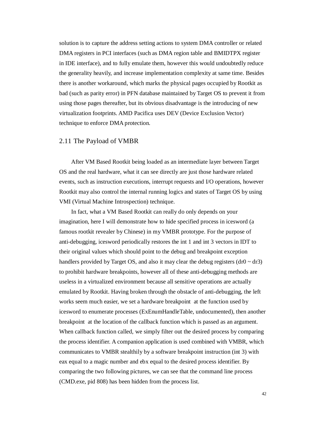solution is to capture the address setting actions to system DMA controller or related DMA registers in PCI interfaces (such as DMA region table and BMIDTPX register in IDE interface), and to fully emulate them, however this would undoubtedly reduce the generality heavily, and increase implementation complexity at same time. Besides there is another workaround, which marks the physical pages occupied by Rootkit as bad (such as parity error) in PFN database maintained by Target OS to prevent it from using those pages thereafter, but its obvious disadvantage is the introducing of new virtualization footprints. AMD Pacifica uses DEV (Device Exclusion Vector) technique to enforce DMA protection.

# 2.11 The Payload of VMBR

After VM Based Rootkit being loaded as an intermediate layer between Target OS and the real hardware, what it can see directly are just those hardware related events, such as instruction executions, interrupt requests and I/O operations, however Rootkit may also control the internal running logics and states of Target OS by using VMI (Virtual Machine Introspection) technique.

In fact, what a VM Based Rootkit can really do only depends on your imagination, here I will demonstrate how to hide specified process in icesword (a famous rootkit revealer by Chinese) in my VMBR prototype. For the purpose of anti-debugging, icesword periodically restores the int 1 and int 3 vectors in IDT to their original values which should point to the debug and breakpoint exception handlers provided by Target OS, and also it may clear the debug registers  $(dr0 \sim dr3)$ to prohibit hardware breakpoints, however all of these anti-debugging methods are useless in a virtualized environment because all sensitive operations are actually emulated by Rootkit. Having broken through the obstacle of anti-debugging, the left works seem much easier, we set a hardware breakpoint at the function used by icesword to enumerate processes (ExEnumHandleTable, undocumented), then another breakpoint at the location of the callback function which is passed as an argument. When callback function called, we simply filter out the desired process by comparing the process identifier. A companion application is used combined with VMBR, which communicates to VMBR stealthily by a software breakpoint instruction (int 3) with eax equal to a magic number and ebx equal to the desired process identifier. By comparing the two following pictures, we can see that the command line process (CMD.exe, pid 808) has been hidden from the process list.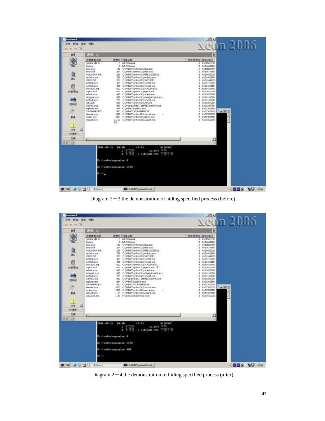| 查看                                             | 进程: 21                                                                                                                                                                                                                                                                                                                                                                 |                                   |                                                                                                                                                                                                                                                                                                                                                                                                                                                                                                                                                                                                                                                                                                                                                                 |                                                                                                          | o                                                                                                                                                                                                                                                                                                              | $x$ con $2006$   |  |
|------------------------------------------------|------------------------------------------------------------------------------------------------------------------------------------------------------------------------------------------------------------------------------------------------------------------------------------------------------------------------------------------------------------------------|-----------------------------------|-----------------------------------------------------------------------------------------------------------------------------------------------------------------------------------------------------------------------------------------------------------------------------------------------------------------------------------------------------------------------------------------------------------------------------------------------------------------------------------------------------------------------------------------------------------------------------------------------------------------------------------------------------------------------------------------------------------------------------------------------------------------|----------------------------------------------------------------------------------------------------------|----------------------------------------------------------------------------------------------------------------------------------------------------------------------------------------------------------------------------------------------------------------------------------------------------------------|------------------|--|
| 逾<br>内软模块<br>启动组<br>匮<br>服体<br>뢰<br>SFI<br>注册表 | 进罪時後名称<br>System Ide Pr<br>Systems:<br><b>MOR, BEER</b><br>ESTER, MODE<br>WINLOGON EXE<br>services exer<br><b>LSASS EXE</b><br>sychost, exe-<br>eychoolt, sous<br>SPOOLSV.EXE<br><b>FRIDITYCLIRICA</b><br>mabank, app.<br>winnamit.com<br>sychost.exe-<br>OVOLEXE<br>WINNIC 2005<br>explorer area<br>SOUND MAN, EXT.<br>now, increase<br>contrae .exe<br>wusucht, eve- | 262<br>693<br>724<br>1020<br>1060 | 透视(b) 程序名称<br>6 NT-OS Kernel<br>8 NT OS Kernel<br>180 C:(WIWIT)system221,mss.exe<br>204 C: (WIMP) system22 carss acce<br>224 CJWIMT isystem32UVINLOGON EXE<br>CIWIMPIsystem32lservices.exe<br>264 CIWIMPBystem32USASS.EXE<br>420 CIWIWINT Basten@Slsvchost.exe<br>468 C:\WIWIT\nystam32\nvchaut.exe<br>520 C.UATAT nation2215POOL5V.EXE<br>616 C:(WIWITpynken22fregnyt.exe<br>640 C: (WPAT) system221 material.com<br>CUWINT pysten32Uvbew/winnight.exe<br>CIWINTsystem32lsychost.exe<br>909 CIWINNTHS/sten3210NDLEXE<br>840 C: (Program Files), Tight/WC/WinWiC.com<br>864 C: (WIWIT) explicitely, as a:<br>960 C:\WINNT\SOLIVERAN.EXE<br>C: [WIMIT] system221 Internal area<br>C:UWIMPT is a stem32 to mime, ever<br>N1120 CIWIMPINT BS/Stew321 MUSLICE. EVE- | 基本优先级 EFROCESS<br>в<br>9<br>q.<br>ā<br>ä<br>a<br>a<br>đ<br>ã<br>a<br>g<br>ã<br>$\alpha$<br>ā.<br>а<br>ă. | 0 0:80540630<br>0 0x6146770<br>D24351526460<br>13 0:51576920<br>0x81449020<br>0x81481960<br>0x8144A820<br>0x81478560<br>0x814068ED<br>0381464800<br>0x6144PD60<br>0507853060<br>0x81446020<br>0x81435120<br>0x81359020<br>0x81338700<br>0x61361540<br>0x61347700<br>0x6133DCED<br>(1x813898ED)<br>8 0.81302890 | $=$ $ D X $<br>ž |  |
| 立件<br>作者斗词                                     | $\left  \cdot \right $                                                                                                                                                                                                                                                                                                                                                 |                                   |                                                                                                                                                                                                                                                                                                                                                                                                                                                                                                                                                                                                                                                                                                                                                                 |                                                                                                          |                                                                                                                                                                                                                                                                                                                |                  |  |
|                                                | 2006-08-21<br>B:\>wabresapaninn \$<br>BIN>wabreampaninn 1148<br>0.55 L                                                                                                                                                                                                                                                                                                 | 18:30                             | <bir><br/><b>WINDOWS</b><br/>26.864 字节<br/>,稽集<br/>2.568.689.292 可用字节</bir>                                                                                                                                                                                                                                                                                                                                                                                                                                                                                                                                                                                                                                                                                     |                                                                                                          |                                                                                                                                                                                                                                                                                                                |                  |  |

Diagram  $2-3$  the demonstration of hiding specified process (before)

| 文件 转储 外观 帮助      |                                |                                                                                                                                         |                |                                    | $x$ con $2006$ |
|------------------|--------------------------------|-----------------------------------------------------------------------------------------------------------------------------------------|----------------|------------------------------------|----------------|
| <b>X # 14 09</b> |                                |                                                                                                                                         |                |                                    |                |
| 查看               | 进程: 21                         |                                                                                                                                         |                | ۰                                  |                |
| O                | 进程确像名称                         | 透野(1) 转序名称                                                                                                                              |                | 基本优先级 EFROCESS                     |                |
|                  | System Ide Pr                  | 0 NT-OS Kernel                                                                                                                          |                | 0 0580540630                       |                |
| 田梅               | System:                        | 8 NT OS Kernel                                                                                                                          |                | 036146720<br>11 0581586460         |                |
|                  | <b>MYROLDESE</b><br>ESTER, MON | 180 C:(WEWI'psykem221mmm.exe<br>204 C: WIMPT jayobam221 paras upon                                                                      |                | 13 0x8157A500                      |                |
|                  | WDLC/GON EXE                   | 224 CUWINNT psychono2UWINLOGON EXE                                                                                                      |                | 0.81449020<br>13                   |                |
| 衁                | services exe-                  | 252<br>CIWINNTsystem32lservices.exe                                                                                                     |                | 0x81481960<br>4                    |                |
|                  | <b>LSASS EXE</b>               | 264 CIWINNTHSystem32USASS.EXE                                                                                                           |                | 0x8144A820<br>۹                    |                |
|                  | sychost.exe<br>eychool, sour-  | 420 CIWIWINTsystem32lsvchost.exe<br>468 C:\WIMT\nystam32\nychant.exe                                                                    |                | 0x81478560<br>a<br>0x814068ED<br>a |                |
|                  | SPOOLSV.EXE                    | 520 C.WINT nonker 3215POOLSV, EXP.                                                                                                      |                | 8 0581464800                       |                |
| 内核模块             | FEDERAL-ROB                    | 616 C:(WIMIT)system221regnyc.exe VS                                                                                                     |                | 0x6144FD60<br>ā.                   |                |
|                  | mabank, app.                   | 640 C: (WEAT pyrker/S2) reback.com                                                                                                      |                | 0581453060<br>а                    |                |
|                  | winingest.com<br>sychost.exe   | CUWI/MTsystem32Uvbewiwinnight.exe<br>698<br>724 CUWINNT pasten@Stsvchost.exe                                                            |                | 0x81446020<br>ã<br>ã<br>0x81435120 |                |
|                  | WinWNC.exe                     | 940 CIProgram Filest Tight/WCYWinWIC.com                                                                                                |                | 0x81336700<br>a                    |                |
| 启动组              | copions and                    | 864 C.(WINNTysuplorer.exe                                                                                                               |                | 0x81381B40<br>a                    |                |
|                  | SOUNDWARLERE                   | 960 C: (WINNI') SOLIVEYAN JOIN                                                                                                          |                | 0x61347700<br>$\alpha$             |                |
| 匮                | infarmak atom<br>partires, som | 1020 C:\WPAT\pysban22\rdsmsb.aton<br>C: WIMPInysban221.comme.exe<br>1060                                                                | ٠              | d dsBI33DCED<br>0351359520<br>a.   | $=$ $ D X $    |
| 服装               | MUSUCE FOR                     | 1120<br>CIWIMTsystem32lwusucit.exe                                                                                                      |                | 0x813C2880<br>$\overline{a}$       | ř              |
|                  | LorSword.exe.                  | 1148 FilleSword(IceSword.exe-                                                                                                           |                | 8 0x81420C20                       |                |
|                  |                                |                                                                                                                                         |                |                                    |                |
|                  |                                |                                                                                                                                         |                |                                    |                |
| 뢰<br>SFD         |                                |                                                                                                                                         |                |                                    |                |
| 注册表              |                                |                                                                                                                                         |                |                                    |                |
| 立件               | $\left  \cdot \right $         |                                                                                                                                         |                |                                    |                |
| 作者斗词             |                                |                                                                                                                                         |                |                                    |                |
|                  | 2006-08-21 18:30<br>0253       | <bir><br/>26.864 字节<br/>1<br/>2.568.689.292 可用字节<br/>Bt\&gt;wabrecapaninn \$<br/>BIN/unbrcompaninn 1148<br/>B:\)wabroompanion 888</bir> | <b>VINDOMS</b> |                                    |                |

Diagram  $2-4$  the demonstration of hiding specified process (after)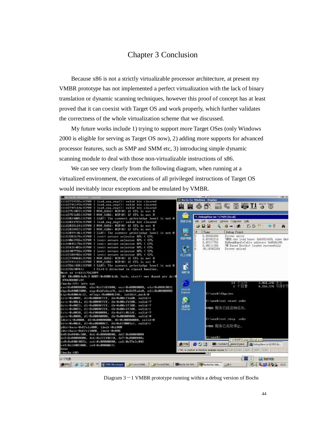# Chapter 3 Conclusion

Because x86 is not a strictly virtualizable processor architecture, at present my VMBR prototype has not implemented a perfect virtualization with the lack of binary translation or dynamic scanning techniques, however this proof of concept has at least proved that it can coexist with Target OS and work properly, which further validates the correctness of the whole virtualization scheme that we discussed.

My future works include 1) trying to support more Target OSes (only Windows 2000 is eligible for serving as Target OS now), 2) adding more supports for advanced processor features, such as SMP and SMM etc, 3) introducing simple dynamic scanning module to deal with those non-virtualizable instructions of x86.

We can see very clearly from the following diagram, when running at a virtualized environment, the executions of all privileged instructions of Target OS would inevitably incur exceptions and be emulated by VMBR.



Diagram  $3-1$  VMBR prototype running within a debug version of Bochs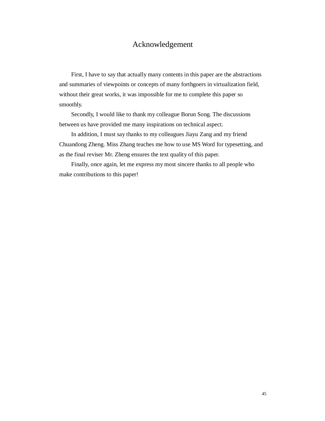# Acknowledgement

First, I have to say that actually many contents in this paper are the abstractions and summaries of viewpoints or concepts of many forthgoers in virtualization field, without their great works, it was impossible for me to complete this paper so smoothly.

Secondly, I would like to thank my colleague Borun Song. The discussions between us have provided me many inspirations on technical aspect.

In addition, I must say thanks to my colleagues Jiayu Zang and my friend Chuandong Zheng. Miss Zhang teaches me how to use MS Word for typesetting, and as the final reviser Mr. Zheng ensures the text quality of this paper.

Finally, once again, let me express my most sincere thanks to all people who make contributions to this paper!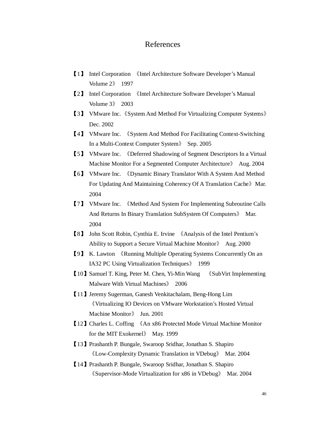# References

- 【1】 Intel Corporation 《Intel Architecture Software Developer's Manual Volume 2》 1997
- 【2】 Intel Corporation 《Intel Architecture Software Developer's Manual Volume 3》 2003
- 【3】 VMware Inc. 《System And Method For Virtualizing Computer Systems》 Dec. 2002
- 【4】 VMware Inc. 《System And Method For Facilitating Context-Switching In a Multi-Context Computer System》 Sep. 2005
- 【5】 VMware Inc. 《Deferred Shadowing of Segment Descriptors In a Virtual Machine Monitor For a Segmented Computer Architecture》 Aug. 2004
- 【6】 VMware Inc. 《Dynamic Binary Translator With A System And Method For Updating And Maintaining Coherency Of A Translation Cache》Mar. 2004
- 【7】 VMware Inc. 《Method And System For Implementing Subroutine Calls And Returns In Binary Translation SubSystem Of Computers》 Mar. 2004
- 【8】 John Scott Robin, Cynthia E. Irvine 《Analysis of the Intel Pentium's Ability to Support a Secure Virtual Machine Monitor》 Aug. 2000
- 【9】 K. Lawton 《Running Multiple Operating Systems Concurrently On an IA32 PC Using Virtualization Techniques》 1999
- 【10】Samuel T. King, Peter M. Chen, Yi-Min Wang 《SubVirt Implementing Malware With Virtual Machines》 2006
- 【11】Jeremy Sugerman, Ganesh Venkitachalam, Beng-Hong Lim 《Virtualizing IO Devices on VMware Workstation's Hosted Virtual Machine Monitor》 Jun. 2001
- 【12】Charles L. Coffing 《An x86 Protected Mode Virtual Machine Monitor for the MIT Exokernel》 May. 1999
- 【13】Prashanth P. Bungale, Swaroop Sridhar, Jonathan S. Shapiro 《Low-Complexity Dynamic Translation in VDebug》 Mar. 2004
- 【14】Prashanth P. Bungale, Swaroop Sridhar, Jonathan S. Shapiro 《Supervisor-Mode Virtualization for x86 in VDebug》 Mar. 2004

46